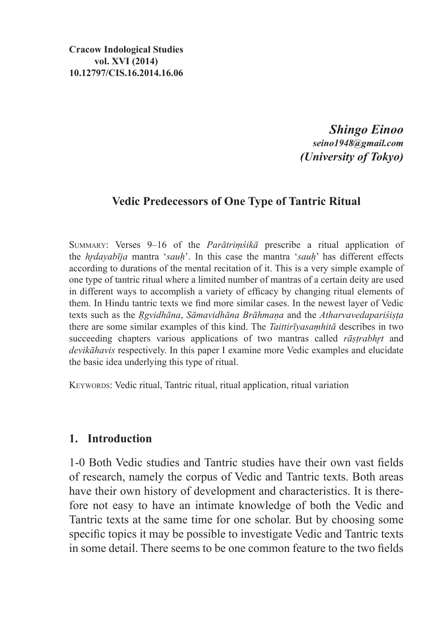**Cracow Indological Studies vol. XVI (2014) 10.12797/CIS.16.2014.16.06**

> *Shingo Einoo seino1948@gmail.com (University of Tokyo)*

### **Vedic Predecessors of One Type of Tantric Ritual**

Summary: Verses 9–16 of the *Parātriṃśikā* prescribe a ritual application of the *hr̥dayabīja* mantra '*sauḥ*'. In this case the mantra '*sauḥ*' has different effects according to durations of the mental recitation of it. This is a very simple example of one type of tantric ritual where a limited number of mantras of a certain deity are used in different ways to accomplish a variety of efficacy by changing ritual elements of them. In Hindu tantric texts we find more similar cases. In the newest layer of Vedic texts such as the *Ṛgvidhāna*, *Sāmavidhāna Brāhmaṇa* and the *Atharvavedapariśiṣṭa*  there are some similar examples of this kind. The *Taittirīyasaṃhitā* describes in two succeeding chapters various applications of two mantras called *rāṣṭrabhrt* and *devikāhavis* respectively. In this paper I examine more Vedic examples and elucidate the basic idea underlying this type of ritual.

KEYWORDS: Vedic ritual, Tantric ritual, ritual application, ritual variation

#### **1. Introduction**

1-0 Both Vedic studies and Tantric studies have their own vast fields of research, namely the corpus of Vedic and Tantric texts. Both areas have their own history of development and characteristics. It is therefore not easy to have an intimate knowledge of both the Vedic and Tantric texts at the same time for one scholar. But by choosing some specific topics it may be possible to investigate Vedic and Tantric texts in some detail. There seems to be one common feature to the two fields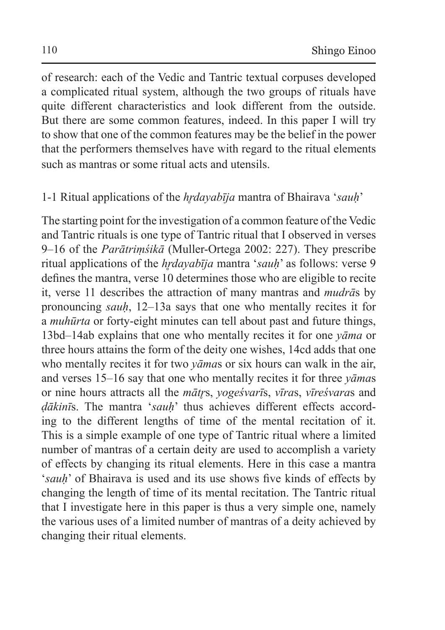of research: each of the Vedic and Tantric textual corpuses developed a complicated ritual system, although the two groups of rituals have quite different characteristics and look different from the outside. But there are some common features, indeed. In this paper I will try to show that one of the common features may be the belief in the power that the performers themselves have with regard to the ritual elements such as mantras or some ritual acts and utensils.

# 1-1 Ritual applications of the *hr̥dayabīja* mantra of Bhairava '*sauḥ*'

The starting point for the investigation of a common feature of the Vedic and Tantric rituals is one type of Tantric ritual that I observed in verses 9–16 of the *Parātriṃśikā* (Muller-Ortega 2002: 227). They prescribe ritual applications of the *hrdayabīja* mantra '*sauh*' as follows: verse 9 defines the mantra, verse 10 determines those who are eligible to recite it, verse 11 describes the attraction of many mantras and *mudrā*s by pronouncing *sauḥ*, 12–13a says that one who mentally recites it for a *muhūrta* or forty-eight minutes can tell about past and future things, 13bd–14ab explains that one who mentally recites it for one *yāma* or three hours attains the form of the deity one wishes, 14cd adds that one who mentally recites it for two *yāma*s or six hours can walk in the air, and verses 15–16 say that one who mentally recites it for three *yāma*s or nine hours attracts all the *mātr̥*s, *yogeśvarī*s, *vīra*s, *vīreśvara*s and *ḍākinī*s. The mantra '*sauḥ*' thus achieves different effects according to the different lengths of time of the mental recitation of it. This is a simple example of one type of Tantric ritual where a limited number of mantras of a certain deity are used to accomplish a variety of effects by changing its ritual elements. Here in this case a mantra '*sauḥ*' of Bhairava is used and its use shows five kinds of effects by changing the length of time of its mental recitation. The Tantric ritual that I investigate here in this paper is thus a very simple one, namely the various uses of a limited number of mantras of a deity achieved by changing their ritual elements.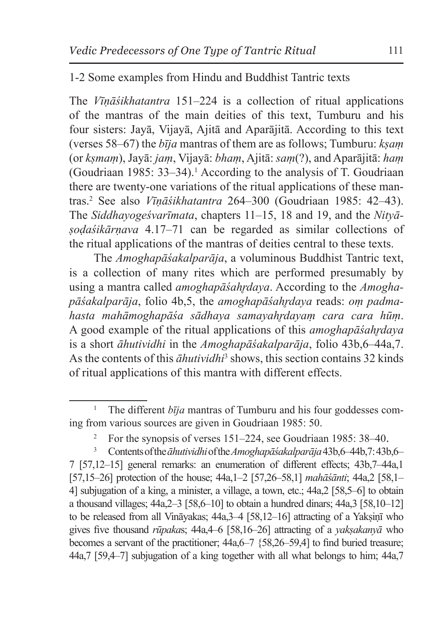#### 1-2 Some examples from Hindu and Buddhist Tantric texts

The *Vīṇāśikhatantra* 151–224 is a collection of ritual applications of the mantras of the main deities of this text, Tumburu and his four sisters: Jayā, Vijayā, Ajitā and Aparājitā. According to this text (verses 58–67) the *bīja* mantras of them are as follows; Tumburu: *kṣaṃ* (or *kṣmaṃ*), Jayā: *jaṃ*, Vijayā: *bhaṃ*, Ajitā: *saṃ*(?), and Aparājitā: *haṃ* (Goudriaan 1985: 33–34).<sup>1</sup> According to the analysis of T. Goudriaan there are twenty-one variations of the ritual applications of these mantras.2 See also *Vīṇāśikhatantra* 264–300 (Goudriaan 1985: 42–43). The *Siddhayogeśvarīmata*, chapters 11–15, 18 and 19, and the *Nityāṣoḍaśikārṇava* 4.17–71 can be regarded as similar collections of the ritual applications of the mantras of deities central to these texts.

The *Amoghapāśakalparāja*, a voluminous Buddhist Tantric text, is a collection of many rites which are performed presumably by using a mantra called *amoghapāśahr̥daya*. According to the *Amoghapāśakalparāja*, folio 4b,5, the *amoghapāśahr̥daya* reads: *oṃ padmahasta mahāmoghapāśa sādhaya samayahr̥dayaṃ cara cara hūṃ*. A good example of the ritual applications of this *amoghapāśahr̥daya* is a short *āhutividhi* in the *Amoghapāśakalparāja*, folio 43b,6–44a,7. As the contents of this *āhutividhi*<sup>3</sup> shows, this section contains 32 kinds of ritual applications of this mantra with different effects.

<sup>&</sup>lt;sup>1</sup> The different  $b\bar{i}ja$  mantras of Tumburu and his four goddesses coming from various sources are given in Goudriaan 1985: 50.

<sup>&</sup>lt;sup>2</sup> For the synopsis of verses 151–224, see Goudriaan 1985: 38–40.

<sup>3</sup> Contents of the*āhutividhi* of the*Amoghapāśakalparāja* 43b,6–44b,7:43b,6– 7 [57,12–15] general remarks: an enumeration of different effects; 43b,7–44a,1 [57,15–26] protection of the house; 44a,1–2 [57,26–58,1] *mahāśānti*; 44a,2 [58,1– 4] subjugation of a king, a minister, a village, a town, etc.; 44a,2 [58,5–6] to obtain a thousand villages;  $44a,2-3$  [58,6-10] to obtain a hundred dinars;  $44a,3$  [58,10-12] to be released from all Vināyakas; 44a, 3–4 [58, 12–16] attracting of a Yaksinī who gives five thousand *rūpaka*s; 44a,4–6 [58,16–26] attracting of a *yakṣakanyā* who becomes a servant of the practitioner; 44a,6–7 {58,26–59,4] to find buried treasure; 44a,7 [59,4–7] subjugation of a king together with all what belongs to him; 44a,7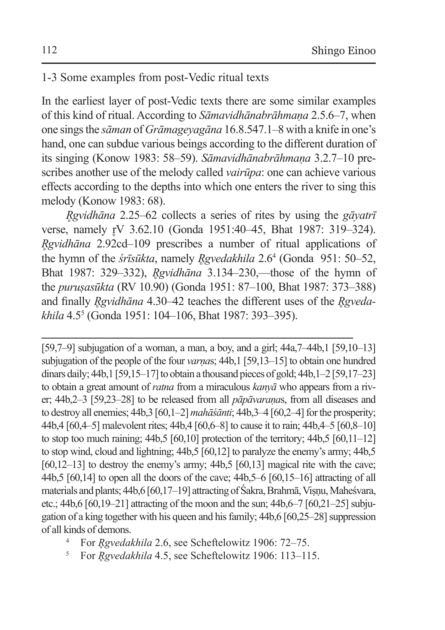## 1-3 Some examples from post-Vedic ritual texts

In the earliest layer of post-Vedic texts there are some similar examples of this kind of ritual. According to *Sāmavidhānabrāhmaṇa* 2.5.6–7, when one sings the *sāman* of *Grāmageyagāna* 16.8.547.1–8 with a knife in one's hand, one can subdue various beings according to the different duration of its singing (Konow 1983: 58–59). *Sāmavidhānabrāhmaṇa* 3.2.7–10 prescribes another use of the melody called *vairūpa*: one can achieve various effects according to the depths into which one enters the river to sing this melody (Konow 1983: 68).

*R̥gvidhāna* 2.25–62 collects a series of rites by using the *gāyatrī* verse, namely rV 3.62.10 (Gonda 1951:40–45, Bhat 1987: 319–324). *R̥gvidhāna* 2.92cd–109 prescribes a number of ritual applications of the hymn of the *śrīsūkta*, namely *R̥gvedakhila* 2.64 (Gonda 951: 50–52, Bhat 1987: 329–332), *R̥gvidhāna* 3.134–230,—those of the hymn of the *puruṣasūkta* (RV 10.90) (Gonda 1951: 87–100, Bhat 1987: 373–388) and finally *R̥gvidhāna* 4.30–42 teaches the different uses of the *R̥gvedakhila* 4.55 (Gonda 1951: 104–106, Bhat 1987: 393–395).

[59,7–9] subjugation of a woman, a man, a boy, and a girl; 44a,7–44b,1 [59,10–13] subjugation of the people of the four *varṇa*s; 44b,1 [59,13–15] to obtain one hundred dinars daily;  $44b.1$  [59,15–17] to obtain a thousand pieces of gold;  $44b.1-2$  [59,17–23] to obtain a great amount of *ratna* from a miraculous *kanyā* who appears from a river; 44b,2–3 [59,23–28] to be released from all *pāpāvaraṇa*s, from all diseases and to destroy all enemies; 44b,3 [60,1–2] *mahāśānti*; 44b,3–4 [60,2–4] for the prosperity; 44b,4 [60,4–5] malevolent rites; 44b,4 [60,6–8] to cause it to rain; 44b,4–5 [60,8–10] to stop too much raining; 44b,5 [60,10] protection of the territory; 44b,5 [60,11–12] to stop wind, cloud and lightning; 44b,5 [60,12] to paralyze the enemy's army; 44b,5  $[60,12-13]$  to destroy the enemy's army;  $44b,5$   $[60,13]$  magical rite with the cave; 44b,5 [60,14] to open all the doors of the cave; 44b,5–6 [60,15–16] attracting of all materials and plants; 44b,6 [60,17–19] attracting of Śakra, Brahmā, Viṣṇu, Maheśvara, etc.; 44b,6 [60,19–21] attracting of the moon and the sun; 44b,6–7 [60,21–25] subjugation of a king together with his queen and his family; 44b,6 [60,25–28] suppression of all kinds of demons.

- <sup>4</sup> For *R̥gvedakhila* 2.6, see Scheftelowitz 1906: 72–75.
- <sup>5</sup> For *R̥gvedakhila* 4.5, see Scheftelowitz 1906: 113–115.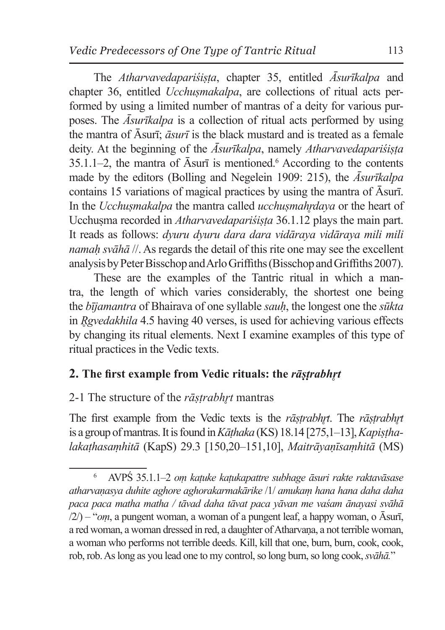The *Atharvavedapariśiṣṭa*, chapter 35, entitled *Āsurīkalpa* and chapter 36, entitled *Ucchuṣmakalpa*, are collections of ritual acts performed by using a limited number of mantras of a deity for various purposes. The *Āsurīkalpa* is a collection of ritual acts performed by using the mantra of Āsurī; *āsurī* is the black mustard and is treated as a female deity. At the beginning of the  $\bar{A}$ *surīkalpa*, namely *Atharvavedapariśista*  $35.1.1-2$ , the mantra of  $\overline{A}$ surī is mentioned.<sup>6</sup> According to the contents made by the editors (Bolling and Negelein 1909: 215), the *Āsurīkalpa*  contains 15 variations of magical practices by using the mantra of Āsurī. In the *Ucchuṣmakalpa* the mantra called *ucchuṣmahr̥daya* or the heart of Ucchuṣma recorded in *Atharvavedapariśiṣṭa* 36.1.12 plays the main part. It reads as follows: *dyuru dyuru dara dara vidāraya vidāraya mili mili namah svāhā* //. As regards the detail of this rite one may see the excellent analysis by Peter Bisschop and Arlo Griffiths (Bisschop and Griffiths 2007).

These are the examples of the Tantric ritual in which a mantra, the length of which varies considerably, the shortest one being the *bījamantra* of Bhairava of one syllable *sauḥ*, the longest one the *sūkta* in *R̥gvedakhila* 4.5 having 40 verses, is used for achieving various effects by changing its ritual elements. Next I examine examples of this type of ritual practices in the Vedic texts.

# **2. The first example from Vedic rituals: the** *rāṣṭrabhr̥t*

### 2-1 The structure of the *rāṣṭrabhr̥t* mantras

The first example from the Vedic texts is the *rāṣṭrabhr̥t*. The *rāṣṭrabhr̥t* is a group of mantras. Itisfound in*Kāṭhaka* (KS) 18.14 [275,1–13], *Kapiṣṭhalakaṭhasaṃhitā* (KapS) 29.3 [150,20–151,10], *Maitrāyaṇīsaṃhitā* (MS)

<sup>6</sup> AVPŚ 35.1.1–2 *oṃ kaṭuke kaṭukapattre subhage āsuri rakte raktavāsase atharvaṇasya duhite aghore aghorakarmakārike* /1/ *amukaṃ hana hana daha daha paca paca matha matha / tāvad daha tāvat paca yāvan me vaśam ānayasi svāhā* /2/) – "*oṃ*, a pungent woman, a woman of a pungent leaf, a happy woman, o Āsurī, a red woman, a woman dressed in red, a daughter of Atharvaṇa, a not terrible woman, a woman who performs not terrible deeds. Kill, kill that one, burn, burn, cook, cook, rob, rob. Aslong as you lead one to my control, so long burn, so long cook, *svāhā.*"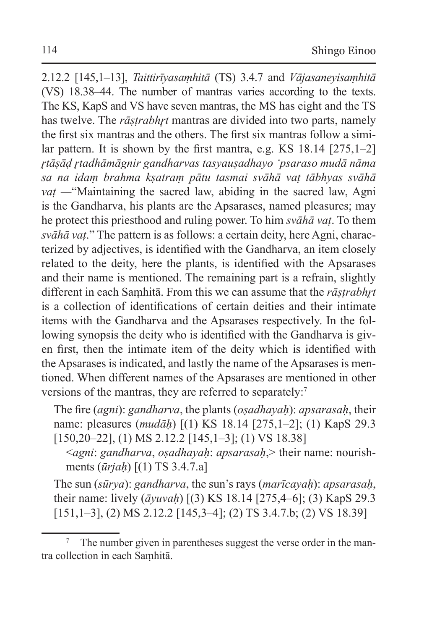2.12.2 [145,1–13], *Taittirīyasaṃhitā* (TS) 3.4.7 and *Vājasaneyisaṃhitā*  (VS) 18.38–44. The number of mantras varies according to the texts. The KS, KapS and VS have seven mantras, the MS has eight and the TS has twelve. The *rāstrabhrt* mantras are divided into two parts, namely the first six mantras and the others. The first six mantras follow a similar pattern. It is shown by the first mantra, e.g. KS 18.14 [275,1–2] *r̥tāṣāḍ r̥tadhāmāgnir gandharvas tasyauṣadhayo 'psaraso mudā nāma sa na idaṃ brahma kṣatraṃ pātu tasmai svāhā vaṭ tābhyas svāhā vaṭ —*"Maintaining the sacred law, abiding in the sacred law, Agni is the Gandharva, his plants are the Apsarases, named pleasures; may he protect this priesthood and ruling power. To him *svāhā vaṭ*. To them *svāhā vaṭ*." The pattern is as follows: a certain deity, here Agni, characterized by adjectives, is identified with the Gandharva, an item closely related to the deity, here the plants, is identified with the Apsarases and their name is mentioned. The remaining part is a refrain, slightly different in each Saṃhitā. From this we can assume that the *rāṣṭrabhr̥t* is a collection of identifications of certain deities and their intimate items with the Gandharva and the Apsarases respectively. In the following synopsis the deity who is identified with the Gandharva is given first, then the intimate item of the deity which is identified with the Apsarases is indicated, and lastly the name of the Apsarases is mentioned. When different names of the Apsarases are mentioned in other versions of the mantras, they are referred to separately:<sup>7</sup>

The fire (*agni*): *gandharva*, the plants (*oṣadhayaḥ*): *apsarasaḥ*, their name: pleasures (*mudāḥ*) [(1) KS 18.14 [275,1–2]; (1) KapS 29.3 [150,20–22], (1) MS 2.12.2 [145,1–3]; (1) VS 18.38]

<*agni*: *gandharva*, *oṣadhayaḥ*: *apsarasaḥ*,> their name: nourishments (*ūrjaḥ*) [(1) TS 3.4.7.a]

The sun (*sūrya*): *gandharva*, the sun's rays (*marīcayaḥ*): *apsarasaḥ*, their name: lively (*āyuvaḥ*) [(3) KS 18.14 [275,4–6]; (3) KapS 29.3 [151,1–3], (2) MS 2.12.2 [145,3–4]; (2) TS 3.4.7.b; (2) VS 18.39]

<sup>&</sup>lt;sup>7</sup> The number given in parentheses suggest the verse order in the mantra collection in each Saṃhitā.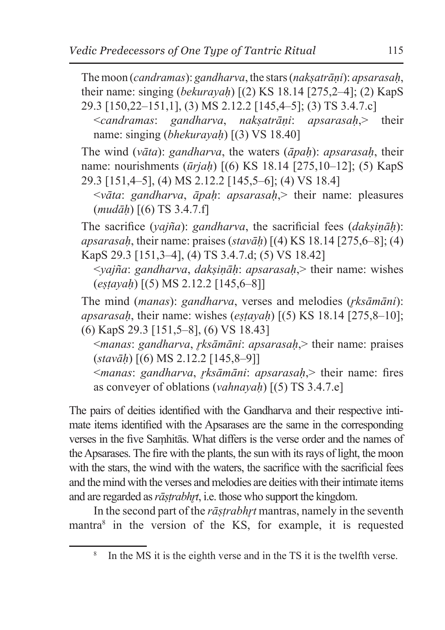The moon (*candramas*): *gandharva*, the stars (*nakṣatrāṇi*): *apsarasaḥ*, their name: singing (*bekurayaḥ*) [(2) KS 18.14 [275,2–4]; (2) KapS 29.3 [150,22–151,1], (3) MS 2.12.2 [145,4–5]; (3) TS 3.4.7.c]

<*candramas*: *gandharva*, *nakṣatrāṇi*: *apsarasaḥ*,> their name: singing (*bhekurayaḥ*) [(3) VS 18.40]

The wind (*vāta*): *gandharva*, the waters (*āpaḥ*): *apsarasaḥ*, their name: nourishments (*ūrjaḥ*) [(6) KS 18.14 [275,10–12]; (5) KapS 29.3 [151,4–5], (4) MS 2.12.2 [145,5–6]; (4) VS 18.4]

<*vāta*: *gandharva*, *āpaḥ*: *apsarasaḥ*,> their name: pleasures (*mudāḥ*) [(6) TS 3.4.7.f]

The sacrifice (*yajña*): *gandharva*, the sacrificial fees (*dakṣiṇāḥ*): *apsarasaḥ*, their name: praises (*stavāḥ*) [(4) KS 18.14 [275,6–8]; (4) KapS 29.3 [151,3–4], (4) TS 3.4.7.d; (5) VS 18.42]

<*yajña*: *gandharva*, *dakṣiṇāḥ*: *apsarasaḥ*,> their name: wishes (*eṣṭayaḥ*) [(5) MS 2.12.2 [145,6–8]]

The mind (*manas*): *gandharva*, verses and melodies (*r̥ksāmāni*): *apsarasaḥ*, their name: wishes (*eṣṭayaḥ*) [(5) KS 18.14 [275,8–10]; (6) KapS 29.3 [151,5–8], (6) VS 18.43]

<*manas*: *gandharva*, *r̥ksāmāni*: *apsarasaḥ*,> their name: praises (*stavāḥ*) [(6) MS 2.12.2 [145,8–9]]

<*manas*: *gandharva*, *r̥ksāmāni*: *apsarasaḥ*,> their name: fires as conveyer of oblations (*vahnayaḥ*) [(5) TS 3.4.7.e]

The pairs of deities identified with the Gandharva and their respective intimate items identified with the Apsarases are the same in the corresponding verses in the five Saṃhitās. What differs is the verse order and the names of theApsarases. The fire with the plants, the sun with its rays of light, the moon with the stars, the wind with the waters, the sacrifice with the sacrificial fees and the mind with the verses and melodies are deities with their intimate items and are regarded as *rāstrabhrt*, i.e. those who support the kingdom.

In the second part of the *rāṣṭrabhr̥t* mantras, namely in the seventh mantra<sup>8</sup> in the version of the KS, for example, it is requested

In the MS it is the eighth verse and in the TS it is the twelfth verse.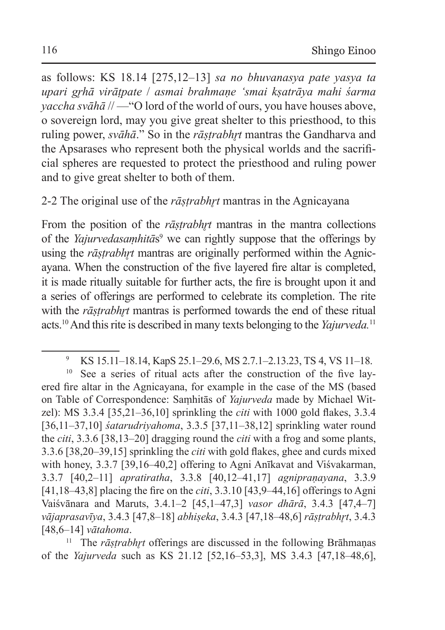as follows: KS 18.14 [275,12–13] *sa no bhuvanasya pate yasya ta upari gr̥hā virāṭpate* / *asmai brahmaṇe 'smai kṣatrāya mahi śarma yaccha svāhā* // —"O lord of the world of ours, you have houses above, o sovereign lord, may you give great shelter to this priesthood, to this ruling power, *svāhā*." So in the *rāstrabhrt* mantras the Gandharva and the Apsarases who represent both the physical worlds and the sacrificial spheres are requested to protect the priesthood and ruling power and to give great shelter to both of them.

# 2-2 The original use of the *rāṣṭrabhr̥t* mantras in the Agnicayana

From the position of the *rāstrabhrt* mantras in the mantra collections of the *Yajurvedasaṃhitās*<sup>9</sup> we can rightly suppose that the offerings by using the *rāstrabhrt* mantras are originally performed within the Agnicayana. When the construction of the five layered fire altar is completed, it is made ritually suitable for further acts, the fire is brought upon it and a series of offerings are performed to celebrate its completion. The rite with the *rāṣṭrabhr̥t* mantras is performed towards the end of these ritual acts.10 And this rite is described in many texts belonging to the *Yajurveda.*<sup>11</sup>

<sup>9</sup> KS 15.11–18.14, KapS 25.1–29.6, MS 2.7.1–2.13.23, TS 4, VS 11–18.

<sup>&</sup>lt;sup>10</sup> See a series of ritual acts after the construction of the five layered fire altar in the Agnicayana, for example in the case of the MS (based on Table of Correspondence: Saṃhitās of *Yajurveda* made by Michael Witzel): MS 3.3.4 [35,21–36,10] sprinkling the *citi* with 1000 gold flakes, 3.3.4 [36,11–37,10] *śatarudriyahoma*, 3.3.5 [37,11–38,12] sprinkling water round the *citi*, 3.3.6 [38,13–20] dragging round the *citi* with a frog and some plants, 3.3.6 [38,20–39,15] sprinkling the *citi* with gold flakes, ghee and curds mixed with honey, 3.3.7 [39,16–40,2] offering to Agni Anīkavat and Viśvakarman, 3.3.7 [40,2–11] *apratiratha*, 3.3.8 [40,12–41,17] *agnipraṇayana*, 3.3.9 [41,18–43,8] placing the fire on the *citi*, 3.3.10 [43,9–44,16] offerings to Agni Vaiśvānara and Maruts, 3.4.1–2 [45,1–47,3] *vasor dhārā*, 3.4.3 [47,4–7] *vājaprasavīya*, 3.4.3 [47,8–18] *abhiṣeka*, 3.4.3 [47,18–48,6] *rāṣṭrabhr̥t*, 3.4.3 [48,6–14] *vātahoma*.

<sup>&</sup>lt;sup>11</sup> The *rāṣtrabhṛt* offerings are discussed in the following Brāhmanas of the *Yajurveda* such as KS 21.12 [52,16–53,3], MS 3.4.3 [47,18–48,6],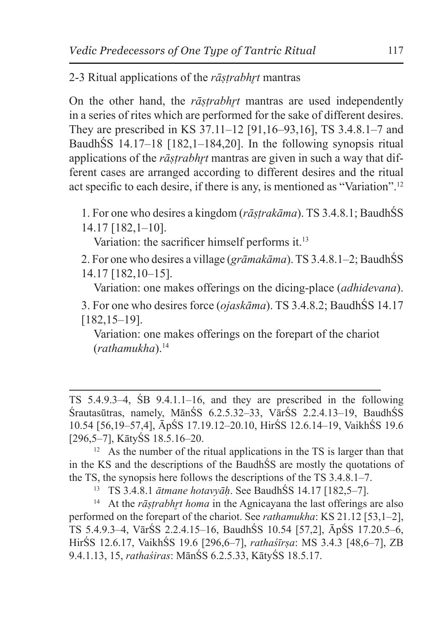# 2-3 Ritual applications of the *rāṣṭrabhr̥t* mantras

On the other hand, the *rāstrabhrt* mantras are used independently in a series of rites which are performed for the sake of different desires. They are prescribed in KS 37.11–12 [91,16–93,16], TS 3.4.8.1–7 and BaudhŚS 14.17–18 [182,1–184,20]. In the following synopsis ritual applications of the *rāstrabhrt* mantras are given in such a way that different cases are arranged according to different desires and the ritual act specific to each desire, if there is any, is mentioned as "Variation".12

1. For one who desires a kingdom (*rāṣṭrakāma*). TS 3.4.8.1; BaudhŚS 14.17 [182,1–10].

Variation: the sacrificer himself performs it.<sup>13</sup>

2. For one who desires a village (*grāmakāma*). TS 3.4.8.1–2; BaudhŚS 14.17 [182,10–15].

Variation: one makes offerings on the dicing-place (*adhidevana*).

3. For one who desires force (*ojaskāma*). TS 3.4.8.2; BaudhŚS 14.17 [182,15–19].

Variation: one makes offerings on the forepart of the chariot (*rathamukha*).14

<sup>13</sup> TS 3.4.8.1 *ātmane hotavyāḥ*. See BaudhŚS 14.17 [182,5–7].

<sup>14</sup> At the *rāṣtrabhṛt homa* in the Agnicayana the last offerings are also performed on the forepart of the chariot. See *rathamukha*: KS 21.12 [53,1–2], TS 5.4.9.3–4, VārŚS 2.2.4.15–16, BaudhŚS 10.54 [57,2], ĀpŚS 17.20.5–6, HirŚS 12.6.17, VaikhŚS 19.6 [296,6–7], *rathaśīrṣa*: MS 3.4.3 [48,6–7], ZB 9.4.1.13, 15, *rathaśiras*: MānŚS 6.2.5.33, KātyŚS 18.5.17.

TS 5.4.9.3–4, ŚB 9.4.1.1–16, and they are prescribed in the following Śrautasūtras, namely, MānŚS 6.2.5.32–33, VārŚS 2.2.4.13–19, BaudhŚS 10.54 [56,19–57,4], ĀpŚS 17.19.12–20.10, HirŚS 12.6.14–19, VaikhŚS 19.6 [296,5–7], KātyŚS 18.5.16–20.

 $12$  As the number of the ritual applications in the TS is larger than that in the KS and the descriptions of the BaudhŚS are mostly the quotations of the TS, the synopsis here follows the descriptions of the TS 3.4.8.1–7.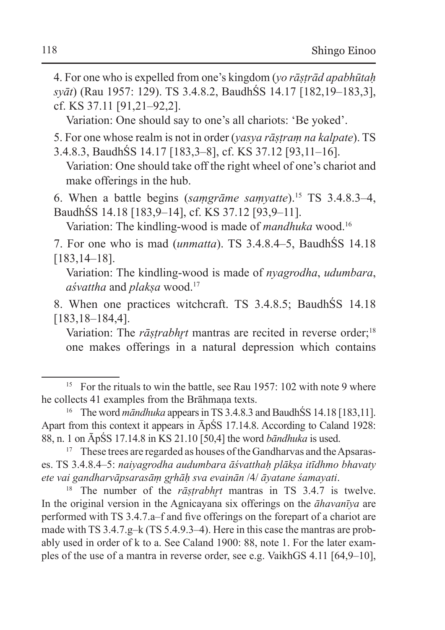4. For one who is expelled from one's kingdom (*yo rāṣṭrād apabhūtaḥ syāt*) (Rau 1957: 129). TS 3.4.8.2, BaudhŚS 14.17 [182,19–183,3], cf. KS 37.11 [91,21–92,2].

Variation: One should say to one's all chariots: 'Be yoked'.

5. For one whose realm is not in order (*yasya rāṣṭraṃ na kalpate*). TS

3.4.8.3, BaudhŚS 14.17 [183,3–8], cf. KS 37.12 [93,11–16]. Variation: One should take off the right wheel of one's chariot and make offerings in the hub.

6. When a battle begins (*saṃgrāme saṃyatte*).15 TS 3.4.8.3–4, BaudhŚS 14.18 [183,9–14], cf. KS 37.12 [93,9–11].

Variation: The kindling-wood is made of *mandhuka* wood.<sup>16</sup>

7. For one who is mad (*unmatta*). TS 3.4.8.4–5, BaudhŚS 14.18 [183,14–18].

Variation: The kindling-wood is made of *nyagrodha*, *udumbara*, *aśvattha* and *plakṣa* wood.17

8. When one practices witchcraft. TS 3.4.8.5; BaudhŚS 14.18 [183,18–184,4].

Variation: The *rāstrabhrt* mantras are recited in reverse order;<sup>18</sup> one makes offerings in a natural depression which contains

<sup>18</sup> The number of the *rāṣtrabhrt* mantras in TS 3.4.7 is twelve. In the original version in the Agnicayana six offerings on the *āhavanīya* are performed with TS 3.4.7.a–f and five offerings on the forepart of a chariot are made with TS 3.4.7.g–k (TS 5.4.9.3–4). Here in this case the mantras are probably used in order of k to a. See Caland 1900: 88, note 1. For the later examples of the use of a mantra in reverse order, see e.g. VaikhGS 4.11 [64,9–10],

<sup>&</sup>lt;sup>15</sup> For the rituals to win the battle, see Rau 1957: 102 with note 9 where he collects 41 examples from the Brāhmana texts.

<sup>&</sup>lt;sup>16</sup> The word *māndhuka* appears in TS 3.4.8.3 and BaudhŚS 14.18 [183.11]. Apart from this context it appears in ĀpŚS 17.14.8. According to Caland 1928: 88, n. 1 on ĀpŚS 17.14.8 in KS 21.10 [50,4] the word *bāndhuka* is used.

<sup>&</sup>lt;sup>17</sup> These trees are regarded as houses of the Gandharvas and the Apsarases. TS 3.4.8.4–5: *naiyagrodha audumbara āśvatthaḥ plākṣa itīdhmo bhavaty ete vai gandharvāpsarasāṃ gr̥hāḥ sva evainān* /4/ *āyatane śamayati*.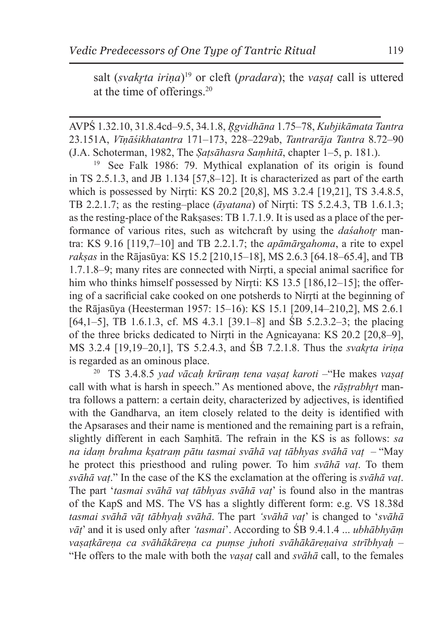salt (*svakrta irina*)<sup>19</sup> or cleft (*pradara*); the *vasat* call is uttered at the time of offerings.20

AVPŚ 1.32.10, 31.8.4cd–9.5, 34.1.8, *R̥gvidhāna* 1.75–78, *Kubjikāmata Tantra*  23.151A, *Vīṇāśikhatantra* 171–173, 228–229ab, *Tantrarāja Tantra* 8.72–90 (J.A. Schoterman, 1982, The *Ṣaṭsāhasra Saṃhitā*, chapter 1–5, p. 181.).

<sup>19</sup> See Falk 1986: 79. Mythical explanation of its origin is found in TS 2.5.1.3, and JB 1.134 [57,8–12]. It is characterized as part of the earth which is possessed by Nirr̥ti: KS 20.2 [20,8], MS 3.2.4 [19,21], TS 3.4.8.5, TB 2.2.1.7; as the resting–place  $(\bar{a}yatana)$  of Nirrti: TS 5.2.4.3, TB 1.6.1.3; as the resting-place of the Rakṣases: TB 1.7.1.9. It is used as a place of the performance of various rites, such as witchcraft by using the *dasahotr* mantra: KS 9.16 [119,7–10] and TB 2.2.1.7; the *apāmārgahoma*, a rite to expel *rakṣas* in the Rājasūya: KS 15.2 [210,15–18], MS 2.6.3 [64.18–65.4], and TB 1.7.1.8–9; many rites are connected with Nirrti, a special animal sacrifice for him who thinks himself possessed by Nirrti: KS  $13.5$  [186,12–15]; the offering of a sacrificial cake cooked on one potsherds to Nirr̥ti at the beginning of the Rājasūya (Heesterman 1957: 15–16): KS 15.1 [209,14–210,2], MS 2.6.1 [64,1–5], TB 1.6.1.3, cf. MS 4.3.1 [39.1–8] and ŚB 5.2.3.2–3; the placing of the three bricks dedicated to Nirrti in the Agnicayana: KS 20.2 [20,8–9], MS 3.2.4 [19,19–20,1], TS 5.2.4.3, and *SB 7.2.1.8*. Thus the *svakrta irina* is regarded as an ominous place.

<sup>20</sup> TS 3.4.8.5 *yad vācaḥ krūraṃ tena vaṣaṭ karoti –*"He makes *vaṣaṭ* call with what is harsh in speech." As mentioned above, the *rāstrabhrt* mantra follows a pattern: a certain deity, characterized by adjectives, is identified with the Gandharva, an item closely related to the deity is identified with the Apsarases and their name is mentioned and the remaining part is a refrain, slightly different in each Saṃhitā. The refrain in the KS is as follows: *sa na idaṃ brahma kṣatraṃ pātu tasmai svāhā vaṭ tābhyas svāhā vaṭ* – "May he protect this priesthood and ruling power. To him *svāhā vaṭ*. To them *svāhā vaṭ*." In the case of the KS the exclamation at the offering is *svāhā vaṭ*. The part '*tasmai svāhā vaṭ tābhyas svāhā vaṭ*' is found also in the mantras of the KapS and MS. The VS has a slightly different form: e.g. VS 18.38d *tasmai svāhā vāṭ tābhyaḥ svāhā*. The part *'svāhā vaṭ*' is changed to '*svāhā vāṭ*' and it is used only after *'tasmai*'. According to ŚB 9.4.1.4 ... *ubhābhyāṃ vaṣaṭkāreṇa ca svāhākāreṇa ca puṃse juhoti svāhākāreṇaiva strībhyaḥ* – "He offers to the male with both the *vaṣaṭ* call and *svāhā* call, to the females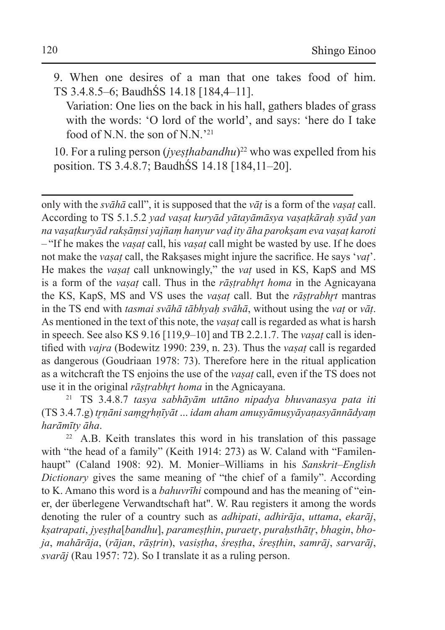- 9. When one desires of a man that one takes food of him. TS 3.4.8.5–6; BaudhŚS 14.18 [184,4–11].
	- Variation: One lies on the back in his hall, gathers blades of grass with the words: 'O lord of the world', and says: 'here do I take food of N.N. the son of N.N.<sup>221</sup>

10. For a ruling person (*jyeṣṭhabandhu*)<sup>22</sup> who was expelled from his position. TS 3.4.8.7; BaudhŚS 14.18 [184,11–20].

only with the *svāhā* call", it is supposed that the *vāṭ* is a form of the *vaṣaṭ* call. According to TS 5.1.5.2 *yad vaṣaṭ kuryād yātayāmāsya vaṣaṭkāraḥ syād yan na vaṣaṭkuryād rakṣāṃsi yajñaṃ hanyur vaḍ ity āha parokṣam eva vaṣaṭ karoti* – "If he makes the *vaṣaṭ* call, his *vaṣaṭ* call might be wasted by use. If he does not make the *vaṣaṭ* call, the Rakṣases might injure the sacrifice. He says '*vaṭ*'. He makes the *vaṣaṭ* call unknowingly," the *vaṭ* used in KS, KapS and MS is a form of the *vaṣaṭ* call. Thus in the *rāṣṭrabhr̥t homa* in the Agnicayana the KS, KapS, MS and VS uses the *vaṣaṭ* call. But the *rāṣṭrabhr̥t* mantras in the TS end with *tasmai svāhā tābhyaḥ svāhā*, without using the *vaṭ* or *vāṭ*. As mentioned in the text of this note, the *vaṣaṭ* call is regarded as what is harsh in speech. See also KS 9.16 [119,9–10] and TB 2.2.1.7. The *vaṣaṭ* call is identified with *vajra* (Bodewitz 1990: 239, n. 23). Thus the *vaṣaṭ* call is regarded as dangerous (Goudriaan 1978: 73). Therefore here in the ritual application as a witchcraft the TS enjoins the use of the *vaṣaṭ* call, even if the TS does not use it in the original *rāṣṭrabhr̥t homa* in the Agnicayana.

<sup>21</sup> TS 3.4.8.7 *tasya sabhāyām uttāno nipadya bhuvanasya pata iti*  (TS 3.4.7.g) *tr̥ṇāni saṃgr̥hṇīyāt* ... *idam aham amuṣyāmuṣyāyaṇasyānnādyaṃ harāmīty āha*.

<sup>22</sup> A.B. Keith translates this word in his translation of this passage with "the head of a family" (Keith 1914: 273) as W. Caland with "Familenhaupt" (Caland 1908: 92). M. Monier–Williams in his *Sanskrit*–*English Dictionary* gives the same meaning of "the chief of a family". According to K. Amano this word is a *bahuvrīhi* compound and has the meaning of "einer, der überlegene Verwandtschaft hat". W. Rau registers it among the words denoting the ruler of a country such as *adhipati*, *adhirāja*, *uttama*, *ekarāj*, *kṣatrapati*, *jyeṣṭha*[*bandhu*], *parameṣṭhin*, *puraetr̥*, *puraḥsthātr̥*, *bhagin*, *bhoja*, *mahārāja*, (*rājan*, *rāṣṭrin*), *vasiṣṭha*, *śreṣṭha*, *śreṣṭhin*, *samrāj*, *sarvarāj*, *svarāj* (Rau 1957: 72). So I translate it as a ruling person.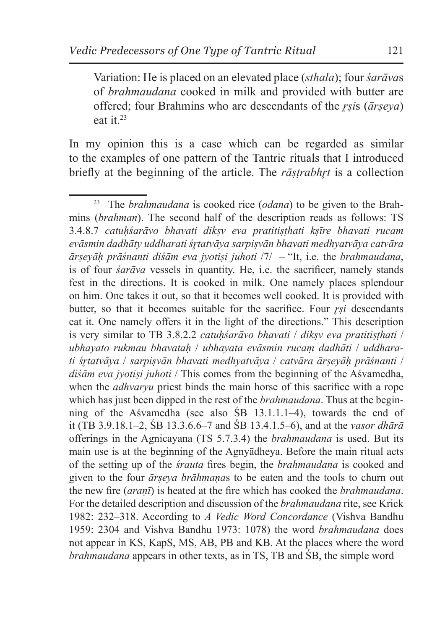Variation: He is placed on an elevated place (*sthala*); four *śarāva*s of *brahmaudana* cooked in milk and provided with butter are offered; four Brahmins who are descendants of the *r̥ṣi*s (*ārṣeya*) eat it.23

In my opinion this is a case which can be regarded as similar to the examples of one pattern of the Tantric rituals that I introduced briefly at the beginning of the article. The *rāstrabhrt* is a collection

<sup>23</sup> The *brahmaudana* is cooked rice (*odana*) to be given to the Brahmins (*brahman*). The second half of the description reads as follows: TS 3.4.8.7 *catuḥśarāvo bhavati dikṣv eva pratitiṣṭhati kṣīre bhavati rucam evāsmin dadhāty uddharati śr̥tatvāya sarpiṣvān bhavati medhyatvāya catvāra ārṣeyāḥ prāśnanti diśām eva jyotiṣi juhoti* /7/ – "It, i.e. the *brahmaudana*, is of four *śarāva* vessels in quantity. He, i.e. the sacrificer, namely stands fest in the directions. It is cooked in milk. One namely places splendour on him. One takes it out, so that it becomes well cooked. It is provided with butter, so that it becomes suitable for the sacrifice. Four *r̥ṣi* descendants eat it. One namely offers it in the light of the directions." This description is very similar to TB 3.8.2.2 *catuhśarāvo bhavati* / *diksv eva pratitisthati* / *ubhayato rukmau bhavataḥ* / *ubhayata evāsmin rucaṃ dadhāti* / *uddharati śr̥tatvāya* / *sarpiṣvān bhavati medhyatvāya* / *catvāra ārṣeyāḥ prāśnanti* / *diśām eva jyotiṣi juhoti* / This comes from the beginning of the Aśvamedha, when the *adhvaryu* priest binds the main horse of this sacrifice with a rope which has just been dipped in the rest of the *brahmaudana*. Thus at the beginning of the Aśvamedha (see also ŚB 13.1.1.1–4), towards the end of it (TB 3.9.18.1–2, ŚB 13.3.6.6–7 and ŚB 13.4.1.5–6), and at the *vasor dhārā* offerings in the Agnicayana (TS 5.7.3.4) the *brahmaudana* is used. But its main use is at the beginning of the Agnyādheya. Before the main ritual acts of the setting up of the *śrauta* fires begin, the *brahmaudana* is cooked and given to the four *ārṣeya brāhmaṇa*s to be eaten and the tools to churn out the new fire (*araṇī*) is heated at the fire which has cooked the *brahmaudana*. For the detailed description and discussion of the *brahmaudana* rite, see Krick 1982: 232–318. According to *A Vedic Word Concordance* (Vishva Bandhu 1959: 2304 and Vishva Bandhu 1973: 1078) the word *brahmaudana* does not appear in KS, KapS, MS, AB, PB and KB. At the places where the word *brahmaudana* appears in other texts, as in TS, TB and ŚB, the simple word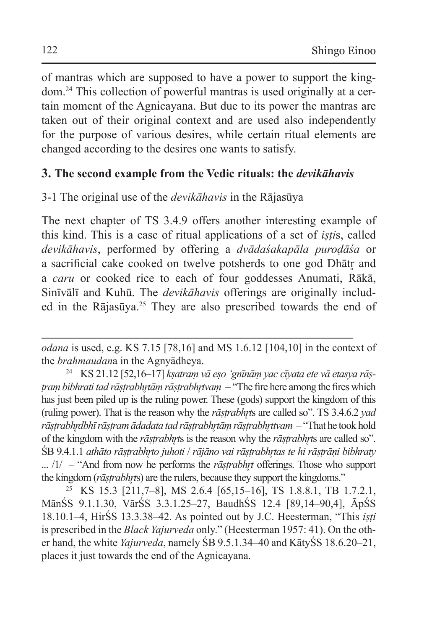of mantras which are supposed to have a power to support the kingdom.24 This collection of powerful mantras is used originally at a certain moment of the Agnicayana. But due to its power the mantras are taken out of their original context and are used also independently for the purpose of various desires, while certain ritual elements are changed according to the desires one wants to satisfy.

# **3. The second example from the Vedic rituals: the** *devikāhavis*

# 3-1 The original use of the *devikāhavis* in the Rājasūya

The next chapter of TS 3.4.9 offers another interesting example of this kind. This is a case of ritual applications of a set of *iṣṭi*s, called *devikāhavis*, performed by offering a *dvādaśakapāla puroḍāśa* or a sacrificial cake cooked on twelve potsherds to one god Dhātr and a *caru* or cooked rice to each of four goddesses Anumati, Rākā, Sinīvālī and Kuhū. The *devikāhavis* offerings are originally included in the Rājasūya.25 They are also prescribed towards the end of

<sup>25</sup> KS 15.3 [211,7–8], MS 2.6.4 [65,15–16], TS 1.8.8.1, TB 1.7.2.1, MānŚS 9.1.1.30, VārŚS 3.3.1.25–27, BaudhŚS 12.4 [89,14–90,4], ĀpŚS 18.10.1–4, HirŚS 13.3.38–42. As pointed out by J.C. Heesterman, "This *iṣṭi*  is prescribed in the *Black Yajurveda* only." (Heesterman 1957: 41). On the other hand, the white *Yajurveda*, namely ŚB 9.5.1.34–40 and KātyŚS 18.6.20–21, places it just towards the end of the Agnicayana.

*odana* is used, e.g. KS 7.15 [78,16] and MS 1.6.12 [104,10] in the context of the *brahmaudan*a in the Agnyādheya.

<sup>24</sup> KS 21.12 [52,16–17] *kṣatraṃ vā eṣo 'gnīnāṃ yac cīyata ete vā etasya rāṣtram bibhrati tad rāṣtrabhrtām rāṣtrabhrtvam* – "The fire here among the fires which has just been piled up is the ruling power. These (gods) support the kingdom of this (ruling power). That is the reason why the *rāṣṭrabhr̥t*s are called so". TS 3.4.6.2 *yad rāṣṭrabhr̥dbhī rāṣṭram ādadata tad rāṣṭrabhr̥tāṃ rāṣṭrabhr̥ttvam* – "That he took hold of the kingdom with the *rāṣṭrabhr̥t*s is the reason why the *rāṣṭrabhr̥t*s are called so". ŚB 9.4.1.1 *athāto rāṣṭrabhr̥to juhoti* / *rājāno vai rāṣṭrabhr̥tas te hi rāṣṭrāṇi bibhraty* ... /1/ – "And from now he performs the *rāṣtrabhrt* offerings. Those who support the kingdom (*rāṣtrabhṛt*s) are the rulers, because they support the kingdoms."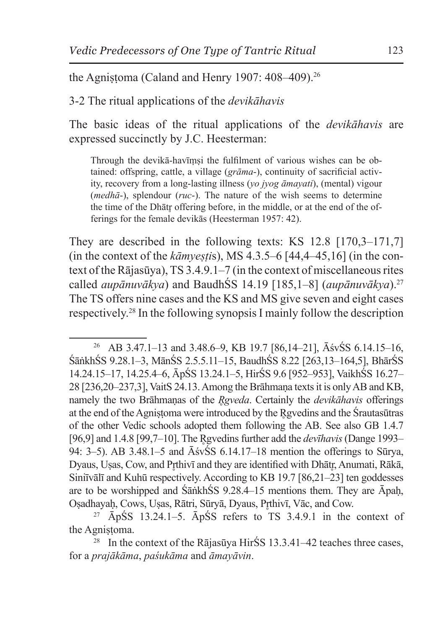the Agnistoma (Caland and Henry 1907:  $408-409$ ).<sup>26</sup>

3-2 The ritual applications of the *devikāhavis*

The basic ideas of the ritual applications of the *devikāhavis* are expressed succinctly by J.C. Heesterman:

Through the devikā-havīṃṣi the fulfilment of various wishes can be obtained: offspring, cattle, a village (*grāma*-), continuity of sacrificial activity, recovery from a long-lasting illness (*yo jyog āmayati*), (mental) vigour (*medhā*-), splendour (*ruc*-). The nature of the wish seems to determine the time of the Dhātr̥ offering before, in the middle, or at the end of the offerings for the female devikās (Heesterman 1957: 42).

They are described in the following texts: KS 12.8 [170,3–171,7] (in the context of the *kāmyeṣṭi*s), MS 4.3.5–6 [44,4–45,16] (in the context of the Rājasūya), TS 3.4.9.1–7 (in the context of miscellaneous rites called *aupānuvākya*) and BaudhŚS 14.19 [185,1–8] (*aupānuvākya*).27 The TS offers nine cases and the KS and MS give seven and eight cases respectively.28 In the following synopsis I mainly follow the description

<sup>27</sup>  $\bar{A}p\bar{S}S$  13.24.1–5.  $\bar{A}p\bar{S}S$  refers to TS 3.4.9.1 in the context of the Agnistoma.

<sup>28</sup> In the context of the Rājasūya HirŚS 13.3.41–42 teaches three cases, for a *prajākāma*, *paśukāma* and *āmayāvin*.

<sup>26</sup> AB 3.47.1–13 and 3.48.6–9, KB 19.7 [86,14–21], ĀśvŚS 6.14.15–16, ŚāṅkhŚS 9.28.1–3, MānŚS 2.5.5.11–15, BaudhŚS 8.22 [263,13–164,5], BhārŚS 14.24.15–17, 14.25.4–6, ĀpŚS 13.24.1–5, HirŚS 9.6 [952–953], VaikhŚS 16.27– 28 [236,20–237,3], VaitS 24.13. Among the Brāhmaṇa texts it is only AB and KB, namely the two Brāhmaṇas of the *R̥gveda*. Certainly the *devikāhavis* offerings at the end of the Agnistoma were introduced by the Rgvedins and the Śrautasūtras of the other Vedic schools adopted them following the AB. See also GB 1.4.7 [96,9] and 1.4.8 [99,7–10]. The R̥gvedins further add the *devīhavis* (Dange 1993– 94: 3–5). AB 3.48.1–5 and ĀśvŚS 6.14.17–18 mention the offerings to Sūrya, Dyaus, Usas, Cow, and Prthivī and they are identified with Dhātr, Anumati, Rākā, Siniīvālī and Kuhū respectively. According to KB 19.7 [86,21–23] ten goddesses are to be worshipped and ŚāṅkhŚS 9.28.4–15 mentions them. They are Āpaḥ, Osadhayaḥ, Cows, Usas, Rātri, Sūryā, Dyaus, Prṭhivī, Vāc, and Cow.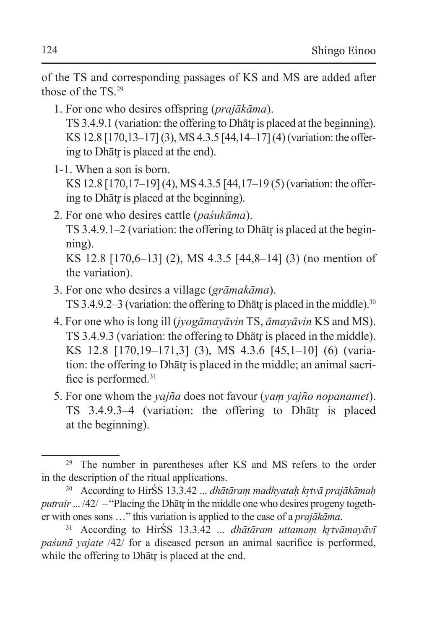of the TS and corresponding passages of KS and MS are added after those of the TS<sup>29</sup>

- 1. For one who desires offspring (*prajākāma*). TS 3.4.9.1 (variation: the offering to Dhātr is placed at the beginning). KS 12.8 [170,13–17] (3), MS 4.3.5 [44,14–17] (4) (variation: the offering to Dhātr̥ is placed at the end).
- 1-1. When a son is born. KS 12.8 [170,17–19] (4), MS 4.3.5 [44,17–19 (5) (variation: the offering to Dhātr is placed at the beginning).
- 2. For one who desires cattle (*paśukāma*). TS  $3.4.9.1-2$  (variation: the offering to Dhātr is placed at the beginning). KS 12.8 [170,6–13] (2), MS 4.3.5 [44,8–14] (3) (no mention of the variation).
- 3. For one who desires a village (*grāmakāma*). TS 3.4.9.2–3 (variation: the offering to Dhātr is placed in the middle).<sup>30</sup>
- 4. For one who is long ill (*jyogāmayāvin* TS, *āmayāvin* KS and MS). TS 3.4.9.3 (variation: the offering to Dhātr is placed in the middle). KS 12.8 [170,19–171,3] (3), MS 4.3.6 [45,1–10] (6) (variation: the offering to Dhātr is placed in the middle; an animal sacrifice is performed.31
- 5. For one whom the *yajña* does not favour (*yaṃ yajño nopanamet*). TS 3.4.9.3–4 (variation: the offering to Dhātr is placed at the beginning).

<sup>29</sup> The number in parentheses after KS and MS refers to the order in the description of the ritual applications.

<sup>30</sup> According to HirŚS 13.3.42 ... *dhātāraṃ madhyataḥ kr̥tvā prajākāmaḥ putrair* ... /42/ – "Placing the Dhātr in the middle one who desires progeny together with ones sons …" this variation is applied to the case of a *prajākāma*.

<sup>&</sup>lt;sup>31</sup> According to HirŚS 13.3.42 ... *dhātāram uttamam krtvāmayāvī paśunā yajate* /42/ for a diseased person an animal sacrifice is performed, while the offering to Dhātr is placed at the end.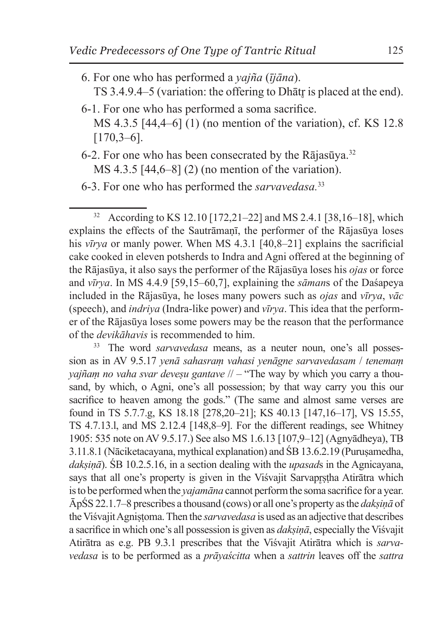- 6. For one who has performed a *yajña* (*ījāna*). TS 3.4.9.4–5 (variation: the offering to Dhātr is placed at the end).
- 6-1. For one who has performed a soma sacrifice. MS 4.3.5 [44,4–6] (1) (no mention of the variation), cf. KS 12.8 [170,3–6].
- 6-2. For one who has been consecrated by the Rājasūva.<sup>32</sup> MS 4.3.5 [44,6–8] (2) (no mention of the variation).

<sup>33</sup> The word *sarvavedasa* means, as a neuter noun, one's all possession as in AV 9.5.17 *yenā sahasraṃ vahasi yenāgne sarvavedasam* / *tenemaṃ vajñam no vaha svar devesu gantave* // – "The way by which you carry a thousand, by which, o Agni, one's all possession; by that way carry you this our sacrifice to heaven among the gods." (The same and almost same verses are found in TS 5.7.7.g, KS 18.18 [278,20–21]; KS 40.13 [147,16–17], VS 15.55, TS 4.7.13.l, and MS 2.12.4 [148,8–9]. For the different readings, see Whitney 1905: 535 note on AV 9.5.17.) See also MS 1.6.13 [107,9–12] (Agnyādheya), TB 3.11.8.1 (Nāciketacayana, mythical explanation) and ŚB 13.6.2.19 (Purusamedha, *dakṣiṇā*). ŚB 10.2.5.16, in a section dealing with the *upasad*s in the Agnicayana, says that all one's property is given in the Visvajit Sarvaprstha Atirātra which isto be performed when the *yajamāna* cannot perform the soma sacrifice for a year. ĀpŚS 22.1.7–8 prescribes a thousand (cows) or all one's property asthe *dakṣiṇā* of the Viśvajit Agnistoma. Then the *sarvavedasa* is used as an adjective that describes a sacrifice in which one's all possession is given as *dakṣiṇā*, especially the Viśvajit Atirātra as e.g. PB 9.3.1 prescribes that the Viśvajit Atirātra which is *sarvavedasa* is to be performed as a *prāyaścitta* when a *sattrin* leaves off the *sattra*

<sup>6-3.</sup> For one who has performed the *sarvavedasa.*<sup>33</sup>

<sup>32</sup> According to KS 12.10 [172,21–22] and MS 2.4.1 [38,16–18], which explains the effects of the Sautrāmaṇī, the performer of the Rājasūya loses his *vīrya* or manly power. When MS 4.3.1 [40,8–21] explains the sacrificial cake cooked in eleven potsherds to Indra and Agni offered at the beginning of the Rājasūya, it also says the performer of the Rājasūya loses his *ojas* or force and *vīrya*. In MS 4.4.9 [59,15–60,7], explaining the *sāman*s of the Daśapeya included in the Rājasūya, he loses many powers such as *ojas* and *vīrya*, *vāc* (speech), and *indriya* (Indra-like power) and *vīrya*. This idea that the performer of the Rājasūya loses some powers may be the reason that the performance of the *devikāhavis* is recommended to him.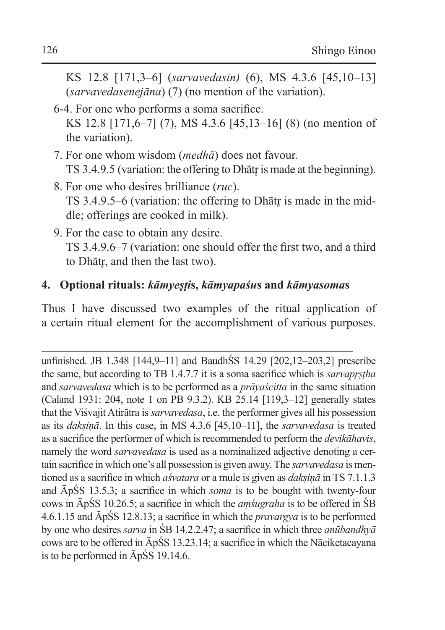- KS 12.8 [171,3–6] (*sarvavedasin)* (6), MS 4.3.6 [45,10–13] (*sarvavedasenejāna*) (7) (no mention of the variation).
- 6-4. For one who performs a soma sacrifice. KS 12.8 [171,6–7] (7), MS 4.3.6 [45,13–16] (8) (no mention of the variation).
- 7. For one whom wisdom (*medhā*) does not favour. TS 3.4.9.5 (variation: the offering to Dhātr is made at the beginning).
- 8. For one who desires brilliance (*ruc*). TS 3.4.9.5–6 (variation: the offering to Dhātr is made in the middle; offerings are cooked in milk).
- 9. For the case to obtain any desire. TS 3.4.9.6–7 (variation: one should offer the first two, and a third to Dhātr, and then the last two).

# **4. Optional rituals:** *kāmyeṣṭi***s,** *kāmyapaśu***s and** *kāmyasoma***s**

Thus I have discussed two examples of the ritual application of a certain ritual element for the accomplishment of various purposes.

unfinished. JB 1.348 [144,9–11] and BaudhŚS 14.29 [202,12–203,2] prescribe the same, but according to TB 1.4.7.7 it is a soma sacrifice which is *sarvapr̥ṣṭha* and *sarvavedasa* which is to be performed as a *prāyaścitta* in the same situation (Caland 1931: 204, note 1 on PB 9.3.2). KB 25.14 [119,3–12] generally states that the Viśvajit Atirātra is*sarvavedasa*, i.e. the performer gives all his possession as its *dakṣiṇā*. In this case, in MS 4.3.6 [45,10–11], the *sarvavedasa* is treated as a sacrifice the performer of which is recommended to perform the *devikāhavis*, namely the word *sarvavedasa* is used as a nominalized adjective denoting a certain sacrifice in which one's all possession is given away. The *sarvavedasa* is mentioned as a sacrifice in which *aśvatara* or a mule is given as *dakṣiṇā* in TS 7.1.1.3 and ĀpŚS 13.5.3; a sacrifice in which *soma* is to be bought with twenty-four cows in ĀpŚS 10.26.5; a sacrifice in which the *aṃśugraha* is to be offered in ŚB 4.6.1.15 and ĀpŚS 12.8.13; a sacrifice in which the *pravargya* is to be performed by one who desires *sarva* in ŚB 14.2.2.47; a sacrifice in which three *anūbandhyā* cows are to be offered in ĀpŚS 13.23.14; a sacrifice in which the Nāciketacayana is to be performed in ĀpŚS 19.14.6.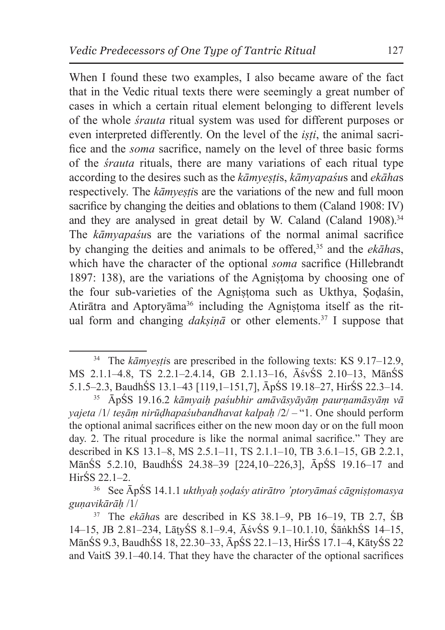When I found these two examples, I also became aware of the fact that in the Vedic ritual texts there were seemingly a great number of cases in which a certain ritual element belonging to different levels of the whole *śrauta* ritual system was used for different purposes or even interpreted differently. On the level of the *iṣṭi*, the animal sacrifice and the *soma* sacrifice, namely on the level of three basic forms of the *śrauta* rituals, there are many variations of each ritual type according to the desires such as the *kāmyeṣṭi*s, *kāmyapaśu*s and *ekāha*s respectively. The *kāmyeṣṭi*s are the variations of the new and full moon sacrifice by changing the deities and oblations to them (Caland 1908: IV) and they are analysed in great detail by W. Caland (Caland 1908).<sup>34</sup> The *kāmyapaśu*s are the variations of the normal animal sacrifice by changing the deities and animals to be offered,35 and the *ekāha*s, which have the character of the optional *soma* sacrifice (Hillebrandt 1897: 138), are the variations of the Agnistoma by choosing one of the four sub-varieties of the Agnistoma such as Ukthya, Sodaśin, Atirātra and Aptoryāma<sup>36</sup> including the Agnistoma itself as the ritual form and changing *daksinā* or other elements.<sup>37</sup> I suppose that

<sup>&</sup>lt;sup>34</sup> The *kāmyeṣṭis* are prescribed in the following texts: KS 9.17–12.9, MS 2.1.1–4.8, TS 2.2.1–2.4.14, GB 2.1.13–16, ĀśvŚS 2.10–13, MānŚS 5.1.5–2.3, BaudhŚS 13.1–43 [119,1–151,7], ĀpŚS 19.18–27, HirŚS 22.3–14.

<sup>35</sup> ĀpŚS 19.16.2 *kāmyaiḥ paśubhir amāvāsyāyāṃ paurṇamāsyāṃ vā yajeta* /1/ *teṣāṃ nirūḍhapaśubandhavat kalpaḥ* /2/ – "1. One should perform the optional animal sacrifices either on the new moon day or on the full moon day. 2. The ritual procedure is like the normal animal sacrifice." They are described in KS 13.1–8, MS 2.5.1–11, TS 2.1.1–10, TB 3.6.1–15, GB 2.2.1, MānŚS 5.2.10, BaudhŚS 24.38–39 [224,10–226,3], ĀpŚS 19.16–17 and HirŚS 22.1–2.

<sup>36</sup> See ĀpŚS 14.1.1 *ukthyaḥ ṣoḍaśy atirātro 'ptoryāmaś cāgniṣṭomasya guṇavikārāḥ* /1/

<sup>37</sup> The *ekāha*s are described in KS 38.1–9, PB 16–19, TB 2.7, ŚB 14–15, JB 2.81–234, LāṭyŚS 8.1–9.4, ĀśvŚS 9.1–10.1.10, ŚāṅkhŚS 14–15, MānŚS 9.3, BaudhŚS 18, 22.30–33, ĀpŚS 22.1–13, HirŚS 17.1–4, KātyŚS 22 and VaitS 39.1–40.14. That they have the character of the optional sacrifices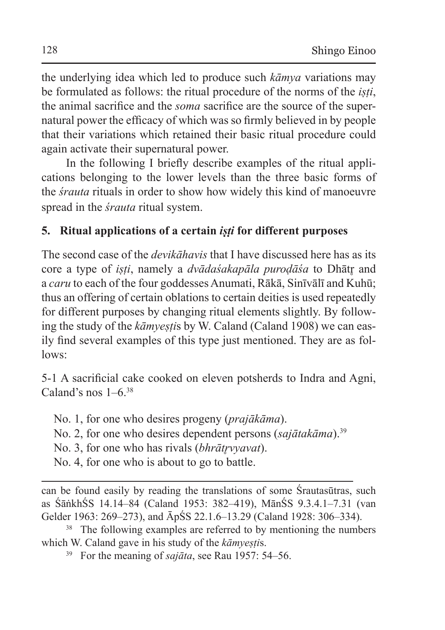the underlying idea which led to produce such *kāmya* variations may be formulated as follows: the ritual procedure of the norms of the *iṣṭi*, the animal sacrifice and the *soma* sacrifice are the source of the supernatural power the efficacy of which was so firmly believed in by people that their variations which retained their basic ritual procedure could again activate their supernatural power.

In the following I briefly describe examples of the ritual applications belonging to the lower levels than the three basic forms of the *śrauta* rituals in order to show how widely this kind of manoeuvre spread in the *śrauta* ritual system.

# **5. Ritual applications of a certain** *iṣṭi* **for different purposes**

The second case of the *devikāhavis* that I have discussed here has as its core a type of *iṣṭi*, namely a *dvādaśakapāla puroḍāśa* to Dhātr̥ and a *caru* to each of the four goddesses Anumati, Rākā, Sinīvālī and Kuhū; thus an offering of certain oblations to certain deities is used repeatedly for different purposes by changing ritual elements slightly. By following the study of the *kāmyestis* by W. Caland (Caland 1908) we can easily find several examples of this type just mentioned. They are as follows:

5-1 A sacrificial cake cooked on eleven potsherds to Indra and Agni, Caland's nos  $1-6$ .<sup>38</sup>

No. 1, for one who desires progeny (*prajākāma*).

No. 2, for one who desires dependent persons (*sajātakāma*).<sup>39</sup>

No. 3, for one who has rivals *(bhrātrvyavat)*.

No. 4, for one who is about to go to battle.

can be found easily by reading the translations of some Śrautasūtras, such as ŚāṅkhŚS 14.14–84 (Caland 1953: 382–419), MānŚS 9.3.4.1–7.31 (van Gelder 1963: 269–273), and ĀpŚS 22.1.6–13.29 (Caland 1928: 306–334).

<sup>38</sup> The following examples are referred to by mentioning the numbers which W. Caland gave in his study of the *kāmyestis*.

<sup>39</sup> For the meaning of *sajāta*, see Rau 1957: 54–56.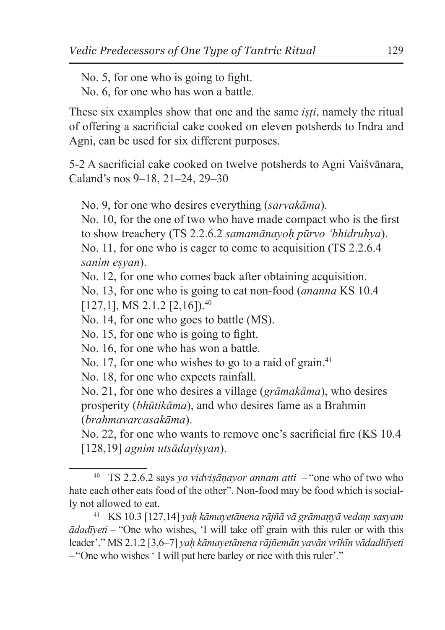No. 5, for one who is going to fight.

No. 6, for one who has won a battle.

These six examples show that one and the same *iṣṭi*, namely the ritual of offering a sacrificial cake cooked on eleven potsherds to Indra and Agni, can be used for six different purposes.

5-2 A sacrificial cake cooked on twelve potsherds to Agni Vaiśvānara, Caland's nos 9–18, 21–24, 29–30

No. 9, for one who desires everything (*sarvakāma*).

No. 10, for the one of two who have made compact who is the first to show treachery (TS 2.2.6.2 *samamānayoḥ pūrvo 'bhidruhya*). No. 11, for one who is eager to come to acquisition (TS 2.2.6.4 *sanim eṣyan*).

No. 12, for one who comes back after obtaining acquisition.

No. 13, for one who is going to eat non-food (*ananna* KS 10.4  $[127,1]$ , MS 2.1.2  $[2,16]$ ).<sup>40</sup>

No. 14, for one who goes to battle (MS).

No. 15, for one who is going to fight.

No. 16, for one who has won a battle.

No. 17, for one who wishes to go to a raid of grain.<sup>41</sup>

No. 18, for one who expects rainfall.

No. 21, for one who desires a village (*grāmakāma*), who desires prosperity (*bhūtikāma*), and who desires fame as a Brahmin (*brahmavarcasakāma*).

No. 22, for one who wants to remove one's sacrificial fire (KS 10.4 [128,19] *agnim utsādayiṣyan*).

<sup>40</sup> TS 2.2.6.2 says *yo vidviṣāṇayor annam atti* – "one who of two who hate each other eats food of the other". Non-food may be food which is socially not allowed to eat.

<sup>41</sup> KS 10.3 [127,14] *yaḥ kāmayetānena rājñā vā grāmaṇyā vedaṃ sasyam ādadīyeti* – "One who wishes, 'I will take off grain with this ruler or with this leader'." MS 2.1.2 [3,6–7] *yaḥ kāmayetānena rājñemān yavān vrīhīn vādadhīyeti* – "One who wishes ' I will put here barley or rice with this ruler'."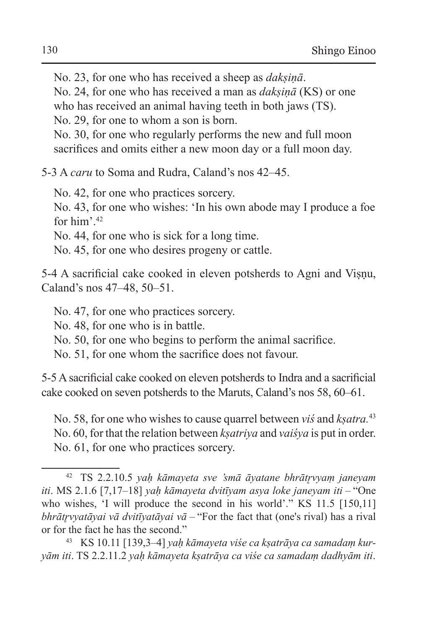No. 23, for one who has received a sheep as *dakṣiṇā*.

No. 24, for one who has received a man as *dakṣiṇā* (KS) or one who has received an animal having teeth in both jaws (TS).

No. 29, for one to whom a son is born.

No. 30, for one who regularly performs the new and full moon sacrifices and omits either a new moon day or a full moon day.

5-3 A *caru* to Soma and Rudra, Caland's nos 42–45.

No. 42, for one who practices sorcery.

No. 43, for one who wishes: 'In his own abode may I produce a foe for him'.42

No. 44, for one who is sick for a long time.

No. 45, for one who desires progeny or cattle.

5-4 A sacrificial cake cooked in eleven potsherds to Agni and Viṣṇu, Caland's nos 47–48, 50–51.

No. 47, for one who practices sorcery.

No. 48, for one who is in battle.

No. 50, for one who begins to perform the animal sacrifice.

No. 51, for one whom the sacrifice does not favour.

5-5 A sacrificial cake cooked on eleven potsherds to Indra and a sacrificial cake cooked on seven potsherds to the Maruts, Caland's nos 58, 60–61.

No. 58, for one who wishes to cause quarrel between *viś* and *kṣatra.*<sup>43</sup> No. 60, for that the relation between *kṣatriya* and *vaiśya* is put in order. No. 61, for one who practices sorcery.

<sup>42</sup> TS 2.2.10.5 *yaḥ kāmayeta sve 'smā āyatane bhrātr̥vyaṃ janeyam iti*. MS 2.1.6 [7,17–18] *yaḥ kāmayeta dvitīyam asya loke janeyam iti* – "One who wishes, 'I will produce the second in his world'." KS 11.5 [150,11] *bhrātr̥vyatāyai vā dvitīyatāyai vā* – "For the fact that (one's rival) has a rival or for the fact he has the second."

<sup>43</sup> KS 10.11 [139,3–4] *yaḥ kāmayeta viśe ca kṣatrāya ca samadaṃ kuryām iti*. TS 2.2.11.2 *yaḥ kāmayeta kṣatrāya ca viśe ca samadaṃ dadhyām iti*.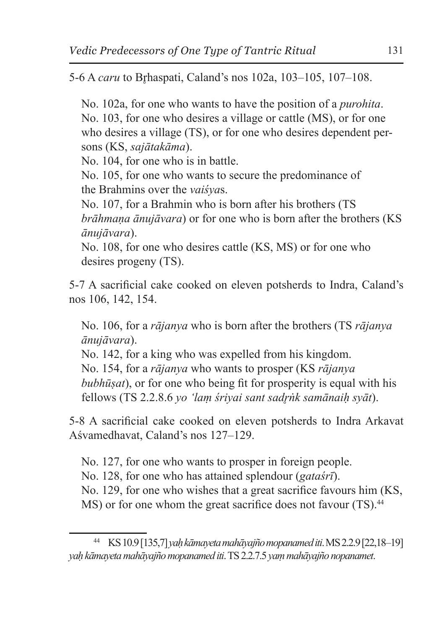5-6 A *caru* to Brhaspati, Caland's nos 102a, 103-105, 107-108.

No. 102a, for one who wants to have the position of a *purohita*. No. 103, for one who desires a village or cattle (MS), or for one who desires a village (TS), or for one who desires dependent persons (KS, *sajātakāma*).

No. 104, for one who is in battle.

No. 105, for one who wants to secure the predominance of the Brahmins over the *vaiśya*s.

No. 107, for a Brahmin who is born after his brothers (TS *brāhmaṇa ānujāvara*) or for one who is born after the brothers (KS *ānujāvara*).

No. 108, for one who desires cattle (KS, MS) or for one who desires progeny (TS).

5-7 A sacrificial cake cooked on eleven potsherds to Indra, Caland's nos 106, 142, 154.

No. 106, for a *rājanya* who is born after the brothers (TS *rājanya ānujāvara*).

No. 142, for a king who was expelled from his kingdom. No. 154, for a *rājanya* who wants to prosper (KS *rājanya bubhūṣat*), or for one who being fit for prosperity is equal with his fellows (TS 2.2.8.6 *yo 'laṃ śriyai sant sadr̥ṅk samānaiḥ syāt*).

5-8 A sacrificial cake cooked on eleven potsherds to Indra Arkavat Aśvamedhavat, Caland's nos 127–129.

No. 127, for one who wants to prosper in foreign people.

No. 128, for one who has attained splendour (*gataśrī*).

No. 129, for one who wishes that a great sacrifice favours him (KS,

MS) or for one whom the great sacrifice does not favour (TS).<sup>44</sup>

<sup>44</sup> KS 10.9 [135,7] *yaḥ kāmayeta mahāyajño mopanamed iti*. MS2.2.9 [22,18–19] *yaḥ kāmayeta mahāyajño mopanamed iti*. TS2.2.7.5 *yaṃ mahāyajño nopanamet*.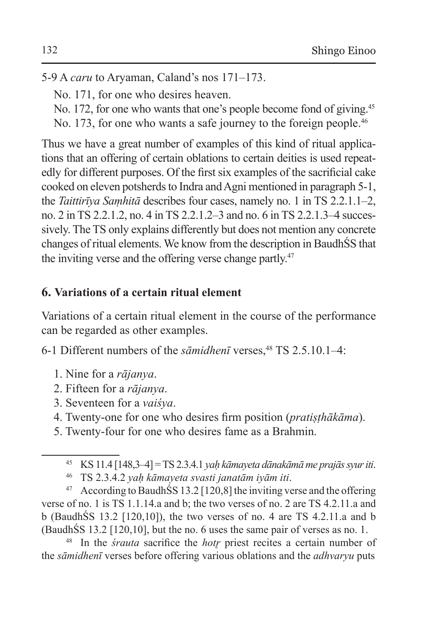5-9 A *caru* to Aryaman, Caland's nos 171–173.

- No. 171, for one who desires heaven.
- No. 172, for one who wants that one's people become fond of giving.<sup>45</sup>
- No. 173, for one who wants a safe journey to the foreign people.<sup>46</sup>

Thus we have a great number of examples of this kind of ritual applications that an offering of certain oblations to certain deities is used repeatedly for different purposes. Of the first six examples of the sacrificial cake cooked on eleven potsherds to Indra and Agni mentioned in paragraph 5-1, the *Taittirīya Saṃhitā* describes four cases, namely no. 1 in TS 2.2.1.1–2, no. 2 in TS 2.2.1.2, no. 4 in TS 2.2.1.2–3 and no. 6 in TS 2.2.1.3–4 successively. The TS only explains differently but does not mention any concrete changes of ritual elements. We know from the description in BaudhŚS that the inviting verse and the offering verse change partly.<sup>47</sup>

# **6. Variations of a certain ritual element**

Variations of a certain ritual element in the course of the performance can be regarded as other examples.

6-1 Different numbers of the *sāmidhenī* verses,<sup>48</sup> TS 2.5.10.1–4:

- 1. Nine for a *rājanya*.
- 2. Fifteen for a *rājanya*.
- 3. Seventeen for a *vaiśya*.
- 4. Twenty-one for one who desires firm position (*pratiṣṭhākāma*).
- 5. Twenty-four for one who desires fame as a Brahmin.

 $47$  According to BaudhŚS 13.2 [120,8] the inviting verse and the offering verse of no. 1 is TS 1.1.14.a and b; the two verses of no. 2 are TS 4.2.11.a and b (BaudhŚS 13.2 [120,10]), the two verses of no. 4 are TS 4.2.11.a and b (BaudhŚS 13.2 [120,10], but the no. 6 uses the same pair of verses as no. 1.

<sup>48</sup> In the *śrauta* sacrifice the *hotr̥* priest recites a certain number of the *sāmidhenī* verses before offering various oblations and the *adhvaryu* puts

<sup>45</sup> KS 11.4 [148,3–4] = TS 2.3.4.1 *yaḥ kāmayeta dānakāmā me prajās syur iti*.

<sup>46</sup> TS 2.3.4.2 *yaḥ kāmayeta svasti janatām iyām iti*.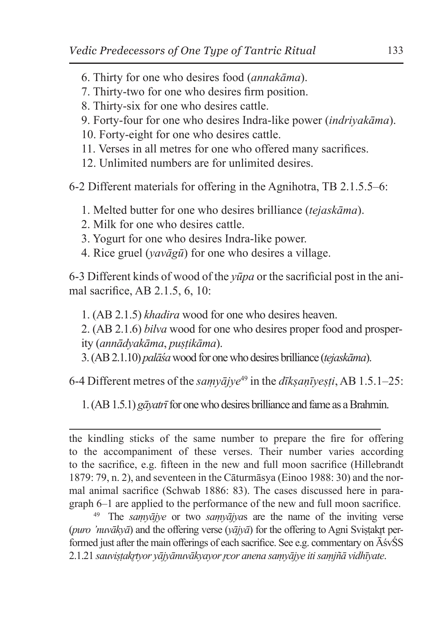- 6. Thirty for one who desires food (*annakāma*).
- 7. Thirty-two for one who desires firm position.
- 8. Thirty-six for one who desires cattle.
- 9. Forty-four for one who desires Indra-like power (*indriyakāma*).
- 10. Forty-eight for one who desires cattle.
- 11. Verses in all metres for one who offered many sacrifices.
- 12. Unlimited numbers are for unlimited desires.

6-2 Different materials for offering in the Agnihotra, TB 2.1.5.5–6:

- 1. Melted butter for one who desires brilliance (*tejaskāma*).
- 2. Milk for one who desires cattle.
- 3. Yogurt for one who desires Indra-like power.
- 4. Rice gruel (*yavāgū*) for one who desires a village.

6-3 Different kinds of wood of the *yūpa* or the sacrificial post in the animal sacrifice, AB 2.1.5, 6, 10:

1. (AB 2.1.5) *khadira* wood for one who desires heaven.

2. (AB 2.1.6) *bilva* wood for one who desires proper food and prosperity (*annādyakāma*, *puṣṭikāma*).

3. (AB 2.1.10) *palāśa* wood for one who desires brilliance (*tejaskāma*).

6-4 Different metres of the *saṃyājye*49 in the *dīkṣaṇīyeṣṭi*, AB 1.5.1–25:

1. (AB 1.5.1) *gāyatrī* for one who desires brilliance and fame as aBrahmin.

<sup>49</sup> The *saṃyājye* or two *saṃyājya*s are the name of the inviting verse (*puro 'nuvākyā*) and the offering verse (*yājyā*) for the offering to Agni Sviṣṭakr̥t performed just after the main offerings of each sacrifice. See e.g. commentary on ĀśvŚS 2.1.21 *sauviṣṭakr̥tyor yājyānuvākyayor r̥cor anena saṃyājye iti saṃjñā vidhīyate*.

the kindling sticks of the same number to prepare the fire for offering to the accompaniment of these verses. Their number varies according to the sacrifice, e.g. fifteen in the new and full moon sacrifice (Hillebrandt 1879: 79, n. 2), and seventeen in the Cāturmāsya (Einoo 1988: 30) and the normal animal sacrifice (Schwab 1886: 83). The cases discussed here in paragraph 6–1 are applied to the performance of the new and full moon sacrifice.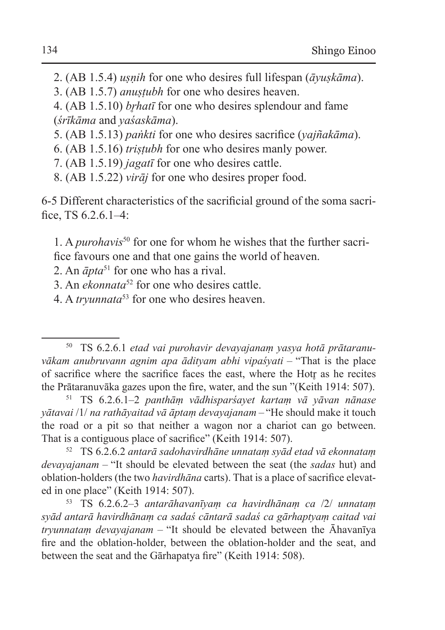2. (AB 1.5.4) *uṣṇih* for one who desires full lifespan (*āyuṣkāma*).

3. (AB 1.5.7) *anuṣṭubh* for one who desires heaven.

4. (AB 1.5.10) *brhatī* for one who desires splendour and fame (*śrīkāma* and *yaśaskāma*).

5. (AB 1.5.13) *paṅkti* for one who desires sacrifice (*yajñakāma*).

6. (AB 1.5.16) *triṣṭubh* for one who desires manly power.

7. (AB 1.5.19) *jagatī* for one who desires cattle.

8. (AB 1.5.22) *virāj* for one who desires proper food.

6-5 Different characteristics of the sacrificial ground of the soma sacrifice, TS 6.2.6.1–4:

1. A *purohavis*50 for one for whom he wishes that the further sacrifice favours one and that one gains the world of heaven.

2. An *āpta*51 for one who has a rival.

3. An *ekonnata*52 for one who desires cattle.

4. A *tryunnata*53 for one who desires heaven.

<sup>51</sup> TS 6.2.6.1–2 *panthāṃ vādhisparśayet kartaṃ vā yāvan nānase yātavai* /1/ *na rathāyaitad vā āptaṃ devayajanam* – "He should make it touch the road or a pit so that neither a wagon nor a chariot can go between. That is a contiguous place of sacrifice" (Keith 1914: 507).

<sup>52</sup> TS 6.2.6.2 *antarā sadohavirdhāne unnataṃ syād etad vā ekonnataṃ devayajanam* – "It should be elevated between the seat (the *sadas* hut) and oblation-holders (the two *havirdhāna* carts). That is a place of sacrifice elevated in one place" (Keith 1914: 507).

<sup>53</sup> TS 6.2.6.2–3 *antarāhavanīyaṃ ca havirdhānaṃ ca* /2/ *unnataṃ syād antarā havirdhānaṃ ca sadaś cāntarā sadaś ca gārhaptyaṃ caitad vai tryunnataṃ devayajanam* – "It should be elevated between the Āhavanīya fire and the oblation-holder, between the oblation-holder and the seat, and between the seat and the Gārhapatya fire" (Keith 1914: 508).

<sup>50</sup> TS 6.2.6.1 *etad vai purohavir devayajanaṃ yasya hotā prātaranuvākam anubruvann agnim apa ādityam abhi vipaśyati* – "That is the place of sacrifice where the sacrifice faces the east, where the Hotr̥ as he recites the Prātaranuvāka gazes upon the fire, water, and the sun "(Keith 1914: 507).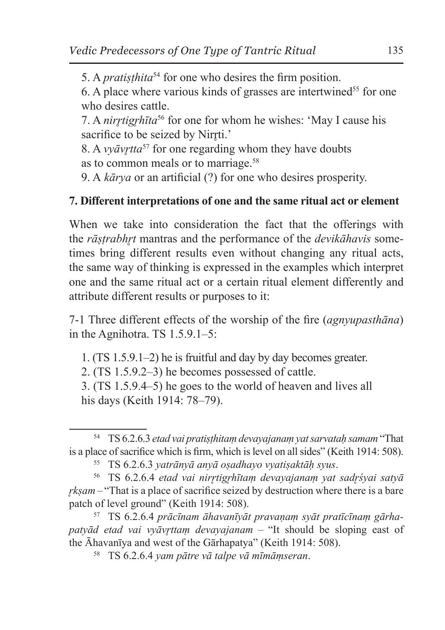5. A *pratiṣṭhita*54 for one who desires the firm position.

6. A place where various kinds of grasses are intertwined<sup>55</sup> for one who desires cattle.

7. A *nirrtigrhita*<sup>56</sup> for one for whom he wishes: 'May I cause his sacrifice to be seized by Nirrti.'

8. A *vvāvrtta*<sup>57</sup> for one regarding whom they have doubts as to common meals or to marriage.58

9. A *kārya* or an artificial (?) for one who desires prosperity.

# **7. Different interpretations of one and the same ritual act or element**

When we take into consideration the fact that the offerings with the *rāṣṭrabhr̥t* mantras and the performance of the *devikāhavis* sometimes bring different results even without changing any ritual acts, the same way of thinking is expressed in the examples which interpret one and the same ritual act or a certain ritual element differently and attribute different results or purposes to it:

7-1 Three different effects of the worship of the fire (*agnyupasthāna*) in the Agnihotra. TS 1.5.9.1–5:

1. (TS 1.5.9.1–2) he is fruitful and day by day becomes greater.

2. (TS 1.5.9.2–3) he becomes possessed of cattle.

3. (TS 1.5.9.4–5) he goes to the world of heaven and lives all his days (Keith 1914: 78–79).

<sup>57</sup> TS 6.2.6.4 *prācīnam āhavanīyāt pravaṇaṃ syāt pratīcīnaṃ gārhapatyād etad vai vyāvr̥ttaṃ devayajanam* – "It should be sloping east of the Āhavanīya and west of the Gārhapatya" (Keith 1914: 508).

<sup>58</sup> TS 6.2.6.4 *yam pātre vā talpe vā mīmāṃseran*.

<sup>54</sup> TS 6.2.6.3 *etad vai pratiṣṭhitaṃ devayajanaṃ yat sarvataḥ samam* "That is a place of sacrifice which is firm, which is level on all sides" (Keith 1914: 508).

<sup>55</sup> TS 6.2.6.3 *yatrānyā anyā oṣadhayo vyatiṣaktāḥ syus*.

<sup>56</sup> TS 6.2.6.4 *etad vai nirr̥tigr̥hītaṃ devayajanaṃ yat sadr̥śyai satyā r̥kṣam* – "That is a place of sacrifice seized by destruction where there is a bare patch of level ground" (Keith 1914: 508).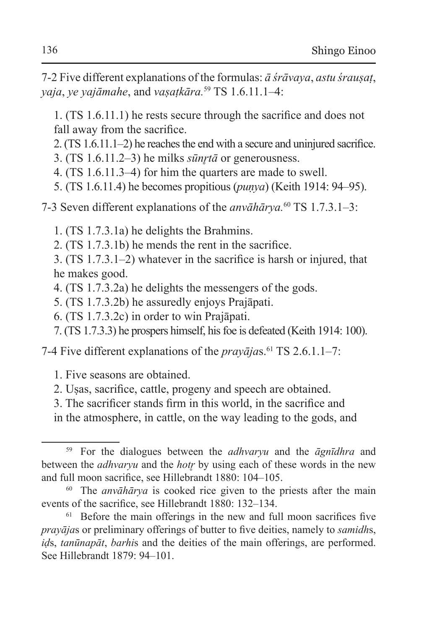7-2 Five different explanations of the formulas: *ā śrāvaya*, *astu śrauṣaṭ*, *yaja*, *ye yajāmahe*, and *vaṣaṭkāra.*59 TS 1.6.11.1–4:

1. (TS 1.6.11.1) he rests secure through the sacrifice and does not fall away from the sacrifice.

- 2. (TS 1.6.11.1–2) he reaches the end with a secure and uninjured sacrifice.
- 3. (TS  $1.6.11.2-3$ ) he milks *sūnrtā* or generousness.
- 4. (TS 1.6.11.3–4) for him the quarters are made to swell.
- 5. (TS 1.6.11.4) he becomes propitious (*puṇya*) (Keith 1914: 94–95).
- 7-3 Seven different explanations of the *anvāhārya.*60 TS 1.7.3.1–3:
	- 1. (TS 1.7.3.1a) he delights the Brahmins.
	- 2. (TS 1.7.3.1b) he mends the rent in the sacrifice.

3. (TS 1.7.3.1–2) whatever in the sacrifice is harsh or injured, that he makes good.

- 4. (TS 1.7.3.2a) he delights the messengers of the gods.
- 5. (TS 1.7.3.2b) he assuredly enjoys Prajāpati.
- 6. (TS 1.7.3.2c) in order to win Prajāpati.
- 7. (TS 1.7.3.3) he prospers himself, his foe is defeated (Keith 1914: 100).

7-4 Five different explanations of the *prayajas*.<sup>61</sup> TS 2.6.1.1–7:

- 1. Five seasons are obtained.
- 2. Uṣas, sacrifice, cattle, progeny and speech are obtained.
- 3. The sacrificer stands firm in this world, in the sacrifice and

in the atmosphere, in cattle, on the way leading to the gods, and

<sup>59</sup> For the dialogues between the *adhvaryu* and the *āgnīdhra* and between the *adhvaryu* and the *hotr̥* by using each of these words in the new and full moon sacrifice, see Hillebrandt 1880: 104–105.

<sup>60</sup> The *anvāhārya* is cooked rice given to the priests after the main events of the sacrifice, see Hillebrandt 1880: 132–134.

<sup>&</sup>lt;sup>61</sup> Before the main offerings in the new and full moon sacrifices five *prayāja*s or preliminary offerings of butter to five deities, namely to *samidh*s, *iḍ*s, *tanūnapāt*, *barhi*s and the deities of the main offerings, are performed. See Hillebrandt 1879: 94–101.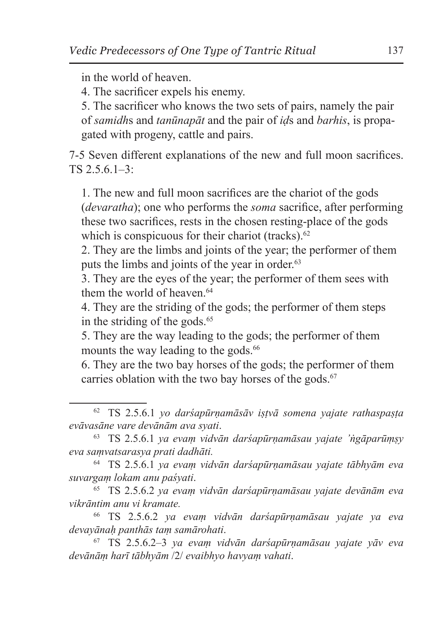in the world of heaven.

4. The sacrificer expels his enemy.

5. The sacrificer who knows the two sets of pairs, namely the pair of *samidh*s and *tanūnapāt* and the pair of *iḍ*s and *barhis*, is propagated with progeny, cattle and pairs.

7-5 Seven different explanations of the new and full moon sacrifices. TS 2.5.6.1–3:

1. The new and full moon sacrifices are the chariot of the gods (*devaratha*); one who performs the *soma* sacrifice, after performing these two sacrifices, rests in the chosen resting-place of the gods which is conspicuous for their chariot (tracks).<sup>62</sup>

2. They are the limbs and joints of the year; the performer of them puts the limbs and joints of the year in order.<sup>63</sup>

3. They are the eyes of the year; the performer of them sees with them the world of heaven.<sup>64</sup>

4. They are the striding of the gods; the performer of them steps in the striding of the gods. $65$ 

5. They are the way leading to the gods; the performer of them mounts the way leading to the gods.<sup>66</sup>

6. They are the two bay horses of the gods; the performer of them carries oblation with the two bay horses of the gods. $67$ 

<sup>65</sup> TS 2.5.6.2 *ya evaṃ vidvān darśapūrṇamāsau yajate devānām eva vikrāntim anu vi kramate.*

<sup>66</sup> TS 2.5.6.2 *ya evaṃ vidvān darśapūrṇamāsau yajate ya eva devayānaḥ panthās taṃ samārohati*.

<sup>67</sup> TS 2.5.6.2–3 *ya evaṃ vidvān darśapūrṇamāsau yajate yāv eva devānāṃ harī tābhyām* /2/ *evaibhyo havyaṃ vahati*.

<sup>62</sup> TS 2.5.6.1 *yo darśapūrṇamāsāv iṣṭvā somena yajate rathaspaṣṭa evāvasāne vare devānām ava syati*.

<sup>63</sup> TS 2.5.6.1 *ya evaṃ vidvān darśapūrṇamāsau yajate 'ṅgāparūṃṣy eva saṃvatsarasya prati dadhāti.*

<sup>64</sup> TS 2.5.6.1 *ya evaṃ vidvān darśapūrṇamāsau yajate tābhyām eva suvargaṃ lokam anu paśyati*.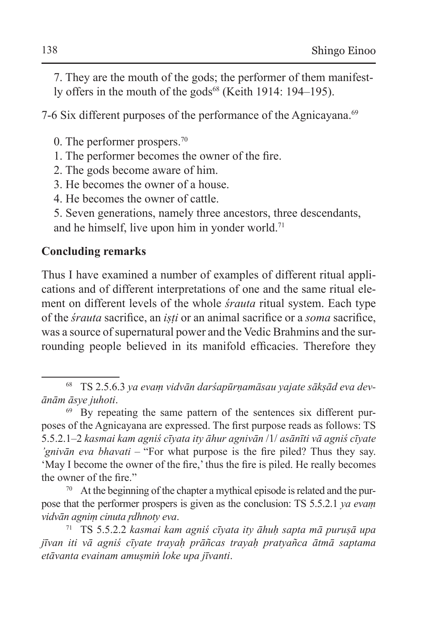7. They are the mouth of the gods; the performer of them manifestly offers in the mouth of the gods<sup>68</sup> (Keith 1914: 194–195).

7-6 Six different purposes of the performance of the Agnicayana.<sup>69</sup>

- 0. The performer prospers.70
- 1. The performer becomes the owner of the fire.
- 2. The gods become aware of him.
- 3. He becomes the owner of a house.
- 4. He becomes the owner of cattle.
- 5. Seven generations, namely three ancestors, three descendants, and he himself, live upon him in yonder world.71

# **Concluding remarks**

Thus I have examined a number of examples of different ritual applications and of different interpretations of one and the same ritual element on different levels of the whole *śrauta* ritual system. Each type of the *śrauta* sacrifice, an *iṣṭi* or an animal sacrifice or a *soma* sacrifice, was a source of supernatural power and the Vedic Brahmins and the surrounding people believed in its manifold efficacies. Therefore they

<sup>68</sup> TS 2.5.6.3 *ya evaṃ vidvān darśapūrṇamāsau yajate sākṣād eva devānām āsye juhoti*.

<sup>69</sup> By repeating the same pattern of the sentences six different purposes of the Agnicayana are expressed. The first purpose reads as follows: TS 5.5.2.1–2 *kasmai kam agniś cīyata ity āhur agnivān* /1/ *asānīti vā agniś cīyate 'gnivān eva bhavati* – "For what purpose is the fire piled? Thus they say. 'May I become the owner of the fire,' thus the fire is piled. He really becomes the owner of the fire."

<sup>&</sup>lt;sup>70</sup> At the beginning of the chapter a mythical episode is related and the purpose that the performer prospers is given as the conclusion: TS 5.5.2.1 *ya evaṃ vidvān agniṃ cinuta r̥dhnoty eva*.

<sup>71</sup> TS 5.5.2.2 *kasmai kam agniś cīyata ity āhuḥ sapta mā puruṣā upa jīvan iti vā agniś cīyate trayaḥ prāñcas trayaḥ pratyañca ātmā saptama etāvanta evainam amuṣmiṅ loke upa jīvanti*.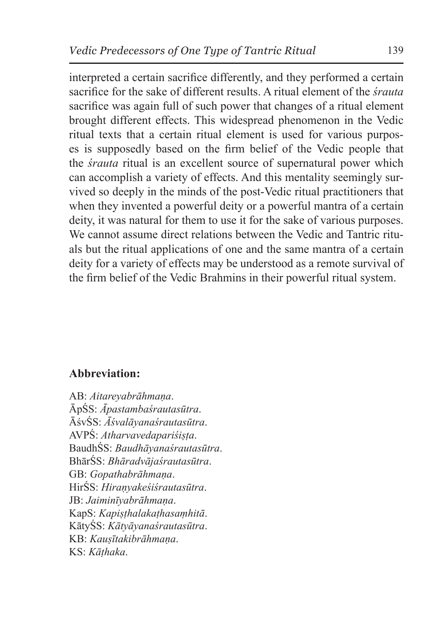interpreted a certain sacrifice differently, and they performed a certain sacrifice for the sake of different results. A ritual element of the *śrauta* sacrifice was again full of such power that changes of a ritual element brought different effects. This widespread phenomenon in the Vedic ritual texts that a certain ritual element is used for various purposes is supposedly based on the firm belief of the Vedic people that the *śrauta* ritual is an excellent source of supernatural power which can accomplish a variety of effects. And this mentality seemingly survived so deeply in the minds of the post-Vedic ritual practitioners that when they invented a powerful deity or a powerful mantra of a certain deity, it was natural for them to use it for the sake of various purposes. We cannot assume direct relations between the Vedic and Tantric rituals but the ritual applications of one and the same mantra of a certain deity for a variety of effects may be understood as a remote survival of the firm belief of the Vedic Brahmins in their powerful ritual system.

### **Abbreviation:**

AB: *Aitareyabrāhmaṇa*. ĀpŚS: *Āpastambaśrautasūtra*. ĀśvŚS: *Āśvalāyanaśrautasūtra*. AVPŚ: *Atharvavedapariśiṣṭa*. BaudhŚS: *Baudhāyanaśrautasūtra*. BhārŚS: *Bhāradvājaśrautasūtra*. GB: *Gopathabrāhmaṇa*. HirŚS: *Hiraṇyakeśiśrautasūtra*. JB: *Jaiminīyabrāhmaṇa*. KapS: *Kapiṣṭhalakaṭhasaṃhitā*. KātyŚS: *Kātyāyanaśrautasūtra*. KB: *Kauṣītakibrāhmaṇa*. KS: *Kāṭhaka*.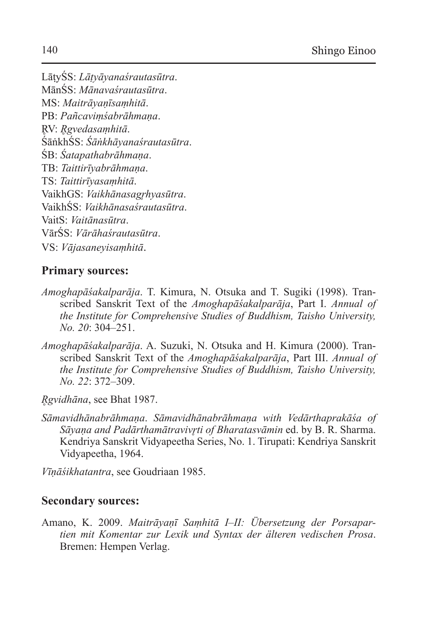LāṭyŚS: *Lāṭyāyanaśrautasūtra*. MānŚS: *Mānavaśrautasūtra*. MS: *Maitrāyaṇīsaṃhitā*. PB: *Pañcaviṃśabrāhmaṇa*. R̥V: *R̥gvedasaṃhitā*. ŚāṅkhŚS: *Śāṅkhāyanaśrautasūtra*. ŚB: *Śatapathabrāhmaṇa*. TB: *Taittirīyabrāhmaṇa*. TS: *Taittirīyasaṃhitā*. VaikhGS: *Vaikhānasagr̥hyasūtra*. VaikhŚS: *Vaikhānasaśrautasūtra*. VaitS: *Vaitānasūtra*. VārŚS: *Vārāhaśrautasūtra*. VS: *Vājasaneyisaṃhitā*.

### **Primary sources:**

- *Amoghapāśakalparāja*. T. Kimura, N. Otsuka and T. Sugiki (1998). Transcribed Sanskrit Text of the *Amoghapāśakalparāja*, Part I. *Annual of the Institute for Comprehensive Studies of Buddhism, Taisho University, No. 20*: 304–251.
- *Amoghapāśakalparāja*. A. Suzuki, N. Otsuka and H. Kimura (2000). Transcribed Sanskrit Text of the *Amoghapāśakalparāja*, Part III. *Annual of the Institute for Comprehensive Studies of Buddhism, Taisho University, No. 22*: 372–309.
- *R̥gvidhāna*, see Bhat 1987.
- *Sāmavidhānabrāhmaṇa*. *Sāmavidhānabrāhmaṇa with Vedārthaprakāśa of Sāyaṇa and Padārthamātravivr̥ti of Bharatasvāmin* ed. by B. R. Sharma. Kendriya Sanskrit Vidyapeetha Series, No. 1. Tirupati: Kendriya Sanskrit Vidyapeetha, 1964.

*Vīṇāśikhatantra*, see Goudriaan 1985.

#### **Secondary sources:**

Amano, K. 2009. *Maitrāyaṇī Saṃhitā I–II: Übersetzung der Porsapartien mit Komentar zur Lexik und Syntax der älteren vedischen Prosa*. Bremen: Hempen Verlag.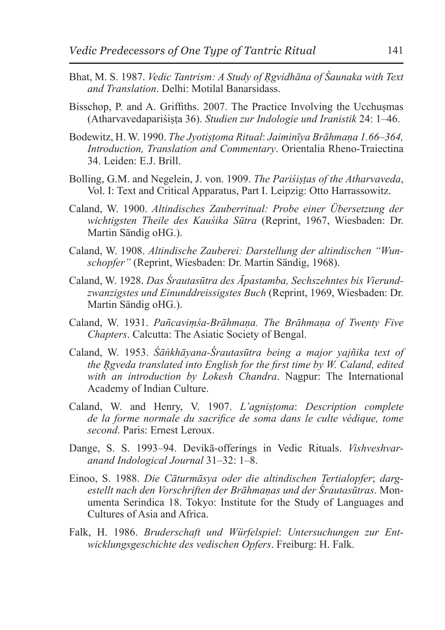- Bhat, M. S. 1987. *Vedic Tantrism: A Study of Ṛgvidhāna of Śaunaka with Text and Translation*. Delhi: Motilal Banarsidass.
- Bisschop, P. and A. Griffiths. 2007. The Practice Involving the Ucchusmas (Atharvavedapariśiṣṭa 36). *Studien zur Indologie und Iranistik* 24: 1–46.
- Bodewitz, H. W. 1990. *The Jyotiṣṭoma Ritual*: *Jaiminīya Brāhmaṇa 1.66–364, Introduction, Translation and Commentary*. Orientalia Rheno-Traiectina 34. Leiden: E.J. Brill.
- Bolling, G.M. and Negelein, J. von. 1909. *The Pariśiṣṭas of the Atharvaveda*, Vol. I: Text and Critical Apparatus, Part I. Leipzig: Otto Harrassowitz.
- Caland, W. 1900. *Altindisches Zauberritual: Probe einer Übersetzung der wichtigsten Theile des Kauśika Sūtra* (Reprint, 1967, Wiesbaden: Dr. Martin Sändig oHG.).
- Caland, W. 1908. *Altindische Zauberei: Darstellung der altindischen "Wunschopfer"* (Reprint, Wiesbaden: Dr. Martin Sändig, 1968).
- Caland, W. 1928. *Das Śrautasūtra des Āpastamba, Sechszehntes bis Vierundzwanzigstes und Einunddreissigstes Buch* (Reprint, 1969, Wiesbaden: Dr. Martin Sändig oHG.).
- Caland, W. 1931. *Pañcaviṃśa-Brāhmaṇa. The Brāhmaṇa of Twenty Five Chapters*. Calcutta: The Asiatic Society of Bengal.
- Caland, W. 1953. *Śāṅkhāyana-Śrautasūtra being a major yajñika text of the R̥gveda translated into English for the first time by W. Caland, edited with an introduction by Lokesh Chandra*. Nagpur: The International Academy of Indian Culture.
- Caland, W. and Henry, V. 1907. *L'agniṣṭoma*: *Description complete de la forme normale du sacrifice de soma dans le culte védique, tome second*. Paris: Ernest Leroux.
- Dange, S. S. 1993–94. Devikā-offerings in Vedic Rituals. *Vishveshvaranand Indological Journal* 31–32: 1–8.
- Einoo, S. 1988. *Die Cāturmāsya oder die altindischen Tertialopfer*; *dargestellt nach den Vorschriften der Brāhmaṇas und der Śrautasūtras*. Monumenta Serindica 18. Tokyo: Institute for the Study of Languages and Cultures of Asia and Africa.
- Falk, H. 1986. *Bruderschaft und Würfelspiel*: *Untersuchungen zur Entwicklungsgeschichte des vedischen Opfers*. Freiburg: H. Falk.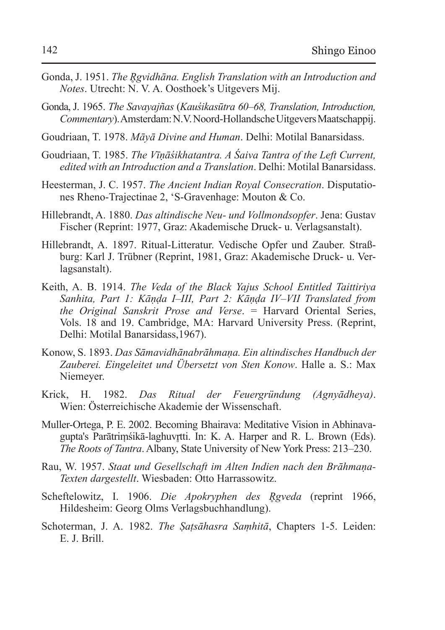- Gonda, J. 1951. *The R̥gvidhāna. English Translation with an Introduction and Notes*. Utrecht: N. V. A. Oosthoek's Uitgevers Mij.
- Gonda, J. 1965. *The Savayajñas* (*Kauśikasūtra 60–68, Translation, Introduction, Commentary*). Amsterdam:N.V.Noord-Hollandsche Uitgevers Maatschappij.
- Goudriaan, T. 1978. *Māyā Divine and Human*. Delhi: Motilal Banarsidass.
- Goudriaan, T. 1985. *The Vīṇāśikhatantra. A Śaiva Tantra of the Left Current, edited with an Introduction and a Translation*. Delhi: Motilal Banarsidass.
- Heesterman, J. C. 1957. *The Ancient Indian Royal Consecration*. Disputationes Rheno-Trajectinae 2, 'S-Gravenhage: Mouton & Co.
- Hillebrandt, A. 1880. *Das altindische Neu- und Vollmondsopfer*. Jena: Gustav Fischer (Reprint: 1977, Graz: Akademische Druck- u. Verlagsanstalt).
- Hillebrandt, A. 1897. Ritual-Litteratur. Vedische Opfer und Zauber. Straßburg: Karl J. Trübner (Reprint, 1981, Graz: Akademische Druck- u. Verlagsanstalt).
- Keith, A. B. 1914. *The Veda of the Black Yajus School Entitled Taittiriya Sanhita, Part 1: Kāṇḍa I–III, Part 2: Kāṇḍa IV–VII Translated from the Original Sanskrit Prose and Verse*. = Harvard Oriental Series, Vols. 18 and 19. Cambridge, MA: Harvard University Press. (Reprint, Delhi: Motilal Banarsidass,1967).
- Konow, S. 1893. *Das Sāmavidhānabrāhmaṇa. Ein altindisches Handbuch der Zauberei. Eingeleitet und Übersetzt von Sten Konow*. Halle a. S.: Max Niemeyer.
- Krick, H. 1982. *Das Ritual der Feuergründung (Agnyādheya)*. Wien: Österreichische Akademie der Wissenschaft.
- Muller-Ortega, P. E. 2002. Becoming Bhairava: Meditative Vision in Abhinavagupta's Parātrimśikā-laghuvrtti. In: K. A. Harper and R. L. Brown (Eds). *The Roots of Tantra*. Albany, State University of New York Press: 213–230.
- Rau, W. 1957. *Staat und Gesellschaft im Alten Indien nach den Brāhmaṇa-Texten dargestellt*. Wiesbaden: Otto Harrassowitz.
- Scheftelowitz, I. 1906. *Die Apokryphen des R̥gveda* (reprint 1966, Hildesheim: Georg Olms Verlagsbuchhandlung).
- Schoterman, J. A. 1982. *The Ṣaṭsāhasra Saṃhitā*, Chapters 1-5. Leiden: E. J. Brill.